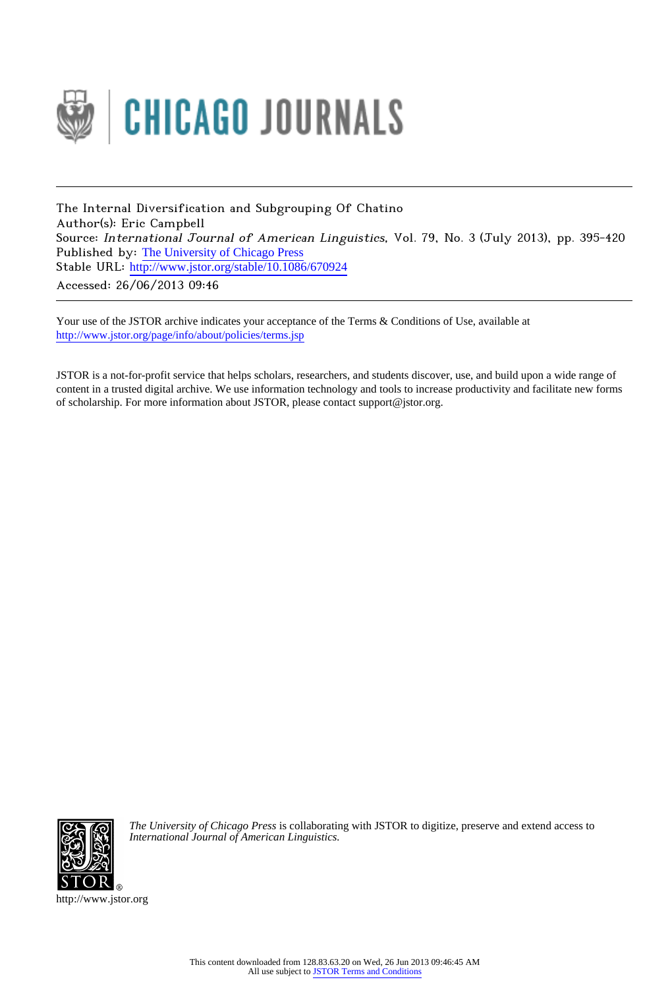

The Internal Diversification and Subgrouping Of Chatino Author(s): Eric Campbell Source: International Journal of American Linguistics, Vol. 79, No. 3 (July 2013), pp. 395-420 Published by: [The University of Chicago Press](http://www.jstor.org/action/showPublisher?publisherCode=ucpress) Stable URL: http://www.jstor.org/stable/10.1086/670924 Accessed: 26/06/2013 09:46

Your use of the JSTOR archive indicates your acceptance of the Terms & Conditions of Use, available at <http://www.jstor.org/page/info/about/policies/terms.jsp>

JSTOR is a not-for-profit service that helps scholars, researchers, and students discover, use, and build upon a wide range of content in a trusted digital archive. We use information technology and tools to increase productivity and facilitate new forms of scholarship. For more information about JSTOR, please contact support@jstor.org.



*The University of Chicago Press* is collaborating with JSTOR to digitize, preserve and extend access to *International Journal of American Linguistics.*

http://www.jstor.org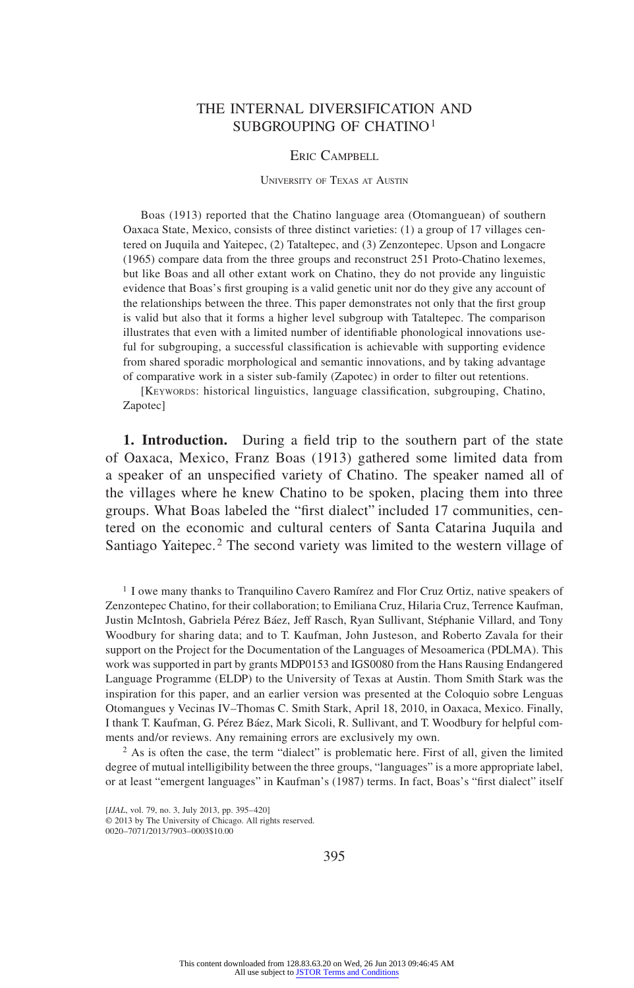# THE INTERNAL DIVERSIFICATION AND SUBGROUPING OF CHATINO1

### ERIC CAMPBELL

#### University of Texas at Austin

Boas (1913) reported that the Chatino language area (Otomanguean) of southern Oaxaca State, Mexico, consists of three distinct varieties: (1) a group of 17 villages centered on Juquila and Yaitepec, (2) Tataltepec, and (3) Zenzontepec. Upson and Longacre (1965) compare data from the three groups and reconstruct 251 Proto-Chatino lexemes, but like Boas and all other extant work on Chatino, they do not provide any linguistic evidence that Boas's first grouping is a valid genetic unit nor do they give any account of the relationships between the three. This paper demonstrates not only that the first group is valid but also that it forms a higher level subgroup with Tataltepec. The comparison illustrates that even with a limited number of identifiable phonological innovations useful for subgrouping, a successful classification is achievable with supporting evidence from shared sporadic morphological and semantic innovations, and by taking advantage of comparative work in a sister sub-family (Zapotec) in order to filter out retentions.

[KEYWORDS: historical linguistics, language classification, subgrouping, Chatino, Zapotec]

**1. Introduction.** During a field trip to the southern part of the state of Oaxaca, Mexico, Franz Boas (1913) gathered some limited data from a speaker of an unspecified variety of Chatino. The speaker named all of the villages where he knew Chatino to be spoken, placing them into three groups. What Boas labeled the "first dialect" included 17 communities, centered on the economic and cultural centers of Santa Catarina Juquila and Santiago Yaitepec.<sup>2</sup> The second variety was limited to the western village of

<sup>1</sup> I owe many thanks to Tranquilino Cavero Ramírez and Flor Cruz Ortiz, native speakers of Zenzontepec Chatino, for their collaboration; to Emiliana Cruz, Hilaria Cruz, Terrence Kaufman, Justin McIntosh, Gabriela Pérez Báez, Jeff Rasch, Ryan Sullivant, Stéphanie Villard, and Tony Woodbury for sharing data; and to T. Kaufman, John Justeson, and Roberto Zavala for their support on the Project for the Documentation of the Languages of Mesoamerica (PDLMA). This work was supported in part by grants MDP0153 and IGS0080 from the Hans Rausing Endangered Language Programme (ELDP) to the University of Texas at Austin. Thom Smith Stark was the inspiration for this paper, and an earlier version was presented at the Coloquio sobre Lenguas Otomangues y Vecinas IV–Thomas C. Smith Stark, April 18, 2010, in Oaxaca, Mexico. Finally, I thank T. Kaufman, G. Pérez Báez, Mark Sicoli, R. Sullivant, and T. Woodbury for helpful comments and/or reviews. Any remaining errors are exclusively my own.

<sup>2</sup> As is often the case, the term "dialect" is problematic here. First of all, given the limited degree of mutual intelligibility between the three groups, "languages" is a more appropriate label, or at least "emergent languages" in Kaufman's (1987) terms. In fact, Boas's "first dialect" itself

395

<sup>[</sup>*IJAL*, vol. 79, no. 3, July 2013, pp. 395-420] © 2013 by The University of Chicago. All rights reserved. 0020–7071/2013/7903–0003\$10.00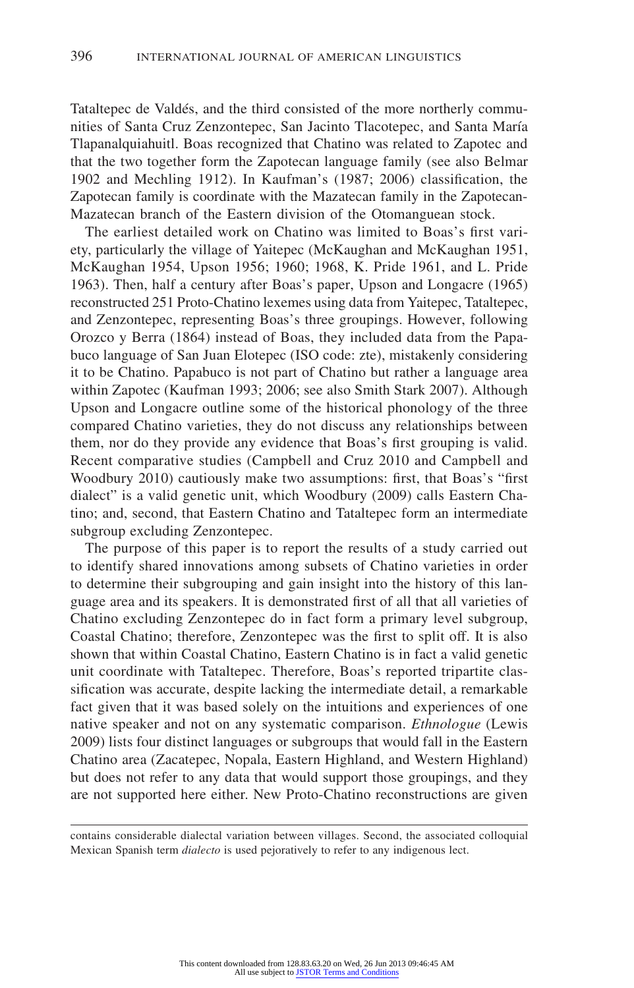Tataltepec de Valdés, and the third consisted of the more northerly communities of Santa Cruz Zenzontepec, San Jacinto Tlacotepec, and Santa María Tlapanalquiahuitl. Boas recognized that Chatino was related to Zapotec and that the two together form the Zapotecan language family (see also Belmar 1902 and Mechling 1912). In Kaufman's (1987; 2006) classification, the Zapotecan family is coordinate with the Mazatecan family in the Zapotecan-Mazatecan branch of the Eastern division of the Otomanguean stock.

The earliest detailed work on Chatino was limited to Boas's first variety, particularly the village of Yaitepec (McKaughan and McKaughan 1951, McKaughan 1954, Upson 1956; 1960; 1968, K. Pride 1961, and L. Pride 1963). Then, half a century after Boas's paper, Upson and Longacre (1965) reconstructed 251 Proto-Chatino lexemes using data from Yaitepec, Tataltepec, and Zenzontepec, representing Boas's three groupings. However, following Orozco y Berra (1864) instead of Boas, they included data from the Papabuco language of San Juan Elotepec (ISO code: zte), mistakenly considering it to be Chatino. Papabuco is not part of Chatino but rather a language area within Zapotec (Kaufman 1993; 2006; see also Smith Stark 2007). Although Upson and Longacre outline some of the historical phonology of the three compared Chatino varieties, they do not discuss any relationships between them, nor do they provide any evidence that Boas's first grouping is valid. Recent comparative studies (Campbell and Cruz 2010 and Campbell and Woodbury 2010) cautiously make two assumptions: first, that Boas's "first dialect" is a valid genetic unit, which Woodbury (2009) calls Eastern Chatino; and, second, that Eastern Chatino and Tataltepec form an intermediate subgroup excluding Zenzontepec.

The purpose of this paper is to report the results of a study carried out to identify shared innovations among subsets of Chatino varieties in order to determine their subgrouping and gain insight into the history of this language area and its speakers. It is demonstrated first of all that all varieties of Chatino excluding Zenzontepec do in fact form a primary level subgroup, Coastal Chatino; therefore, Zenzontepec was the first to split off. It is also shown that within Coastal Chatino, Eastern Chatino is in fact a valid genetic unit coordinate with Tataltepec. Therefore, Boas's reported tripartite classification was accurate, despite lacking the intermediate detail, a remarkable fact given that it was based solely on the intuitions and experiences of one native speaker and not on any systematic comparison. *Ethnologue* (Lewis 2009) lists four distinct languages or subgroups that would fall in the Eastern Chatino area (Zacatepec, Nopala, Eastern Highland, and Western Highland) but does not refer to any data that would support those groupings, and they are not supported here either. New Proto-Chatino reconstructions are given

contains considerable dialectal variation between villages. Second, the associated colloquial Mexican Spanish term *dialecto* is used pejoratively to refer to any indigenous lect.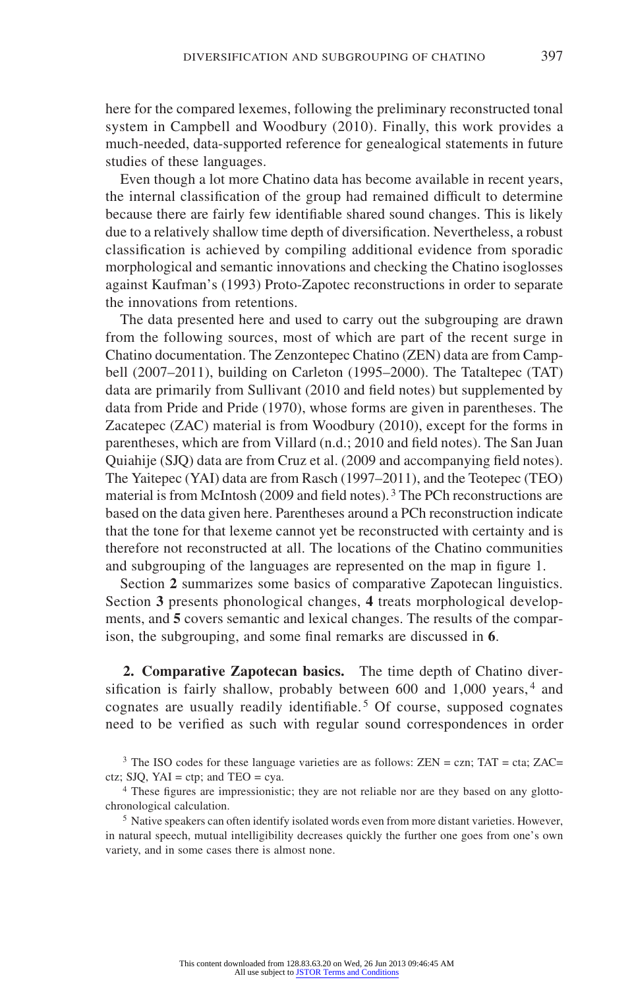here for the compared lexemes, following the preliminary reconstructed tonal system in Campbell and Woodbury (2010). Finally, this work provides a much-needed, data-supported reference for genealogical statements in future studies of these languages.

Even though a lot more Chatino data has become available in recent years, the internal classification of the group had remained difficult to determine because there are fairly few identifiable shared sound changes. This is likely due to a relatively shallow time depth of diversification. Nevertheless, a robust classification is achieved by compiling additional evidence from sporadic morphological and semantic innovations and checking the Chatino isoglosses against Kaufman's (1993) Proto-Zapotec reconstructions in order to separate the innovations from retentions.

The data presented here and used to carry out the subgrouping are drawn from the following sources, most of which are part of the recent surge in Chatino documentation. The Zenzontepec Chatino (ZEN) data are from Campbell (2007–2011), building on Carleton (1995–2000). The Tataltepec (TAT) data are primarily from Sullivant (2010 and field notes) but supplemented by data from Pride and Pride (1970), whose forms are given in parentheses. The Zacatepec (ZAC) material is from Woodbury (2010), except for the forms in parentheses, which are from Villard (n.d.; 2010 and field notes). The San Juan Quiahije (SJQ) data are from Cruz et al. (2009 and accompanying field notes). The Yaitepec (YAI) data are from Rasch (1997–2011), and the Teotepec (TEO) material is from McIntosh (2009 and field notes). 3 The PCh reconstructions are based on the data given here. Parentheses around a PCh reconstruction indicate that the tone for that lexeme cannot yet be reconstructed with certainty and is therefore not reconstructed at all. The locations of the Chatino communities and subgrouping of the languages are represented on the map in figure 1.

Section **2** summarizes some basics of comparative Zapotecan linguistics. Section **3** presents phonological changes, **4** treats morphological developments, and **5** covers semantic and lexical changes. The results of the comparison, the subgrouping, and some final remarks are discussed in **6**.

**2. Comparative Zapotecan basics.** The time depth of Chatino diversification is fairly shallow, probably between 600 and 1,000 years, 4 and cognates are usually readily identifiable.<sup>5</sup> Of course, supposed cognates need to be verified as such with regular sound correspondences in order

<sup>&</sup>lt;sup>3</sup> The ISO codes for these language varieties are as follows:  $ZEN = \text{czn}$ ;  $TAT = \text{cta}$ ;  $ZAC =$ ctz; SJQ, YAI = ctp; and TEO = cya.

<sup>4</sup> These figures are impressionistic; they are not reliable nor are they based on any glottochronological calculation.

<sup>5</sup> Native speakers can often identify isolated words even from more distant varieties. However, in natural speech, mutual intelligibility decreases quickly the further one goes from one's own variety, and in some cases there is almost none.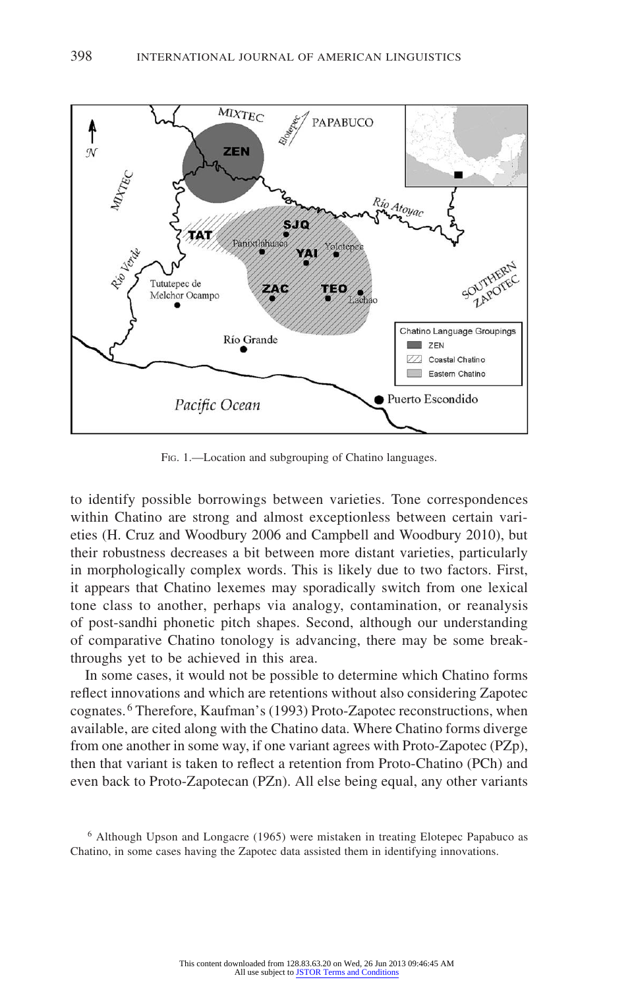

Fig. 1.—Location and subgrouping of Chatino languages.

to identify possible borrowings between varieties. Tone correspondences within Chatino are strong and almost exceptionless between certain varieties (H. Cruz and Woodbury 2006 and Campbell and Woodbury 2010), but their robustness decreases a bit between more distant varieties, particularly in morphologically complex words. This is likely due to two factors. First, it appears that Chatino lexemes may sporadically switch from one lexical tone class to another, perhaps via analogy, contamination, or reanalysis of post-sandhi phonetic pitch shapes. Second, although our understanding of comparative Chatino tonology is advancing, there may be some breakthroughs yet to be achieved in this area.

In some cases, it would not be possible to determine which Chatino forms reflect innovations and which are retentions without also considering Zapotec cognates. 6 Therefore, Kaufman's (1993) Proto-Zapotec reconstructions, when available, are cited along with the Chatino data. Where Chatino forms diverge from one another in some way, if one variant agrees with Proto-Zapotec (PZp), then that variant is taken to reflect a retention from Proto-Chatino (PCh) and even back to Proto-Zapotecan (PZn). All else being equal, any other variants

<sup>6</sup> Although Upson and Longacre (1965) were mistaken in treating Elotepec Papabuco as Chatino, in some cases having the Zapotec data assisted them in identifying innovations.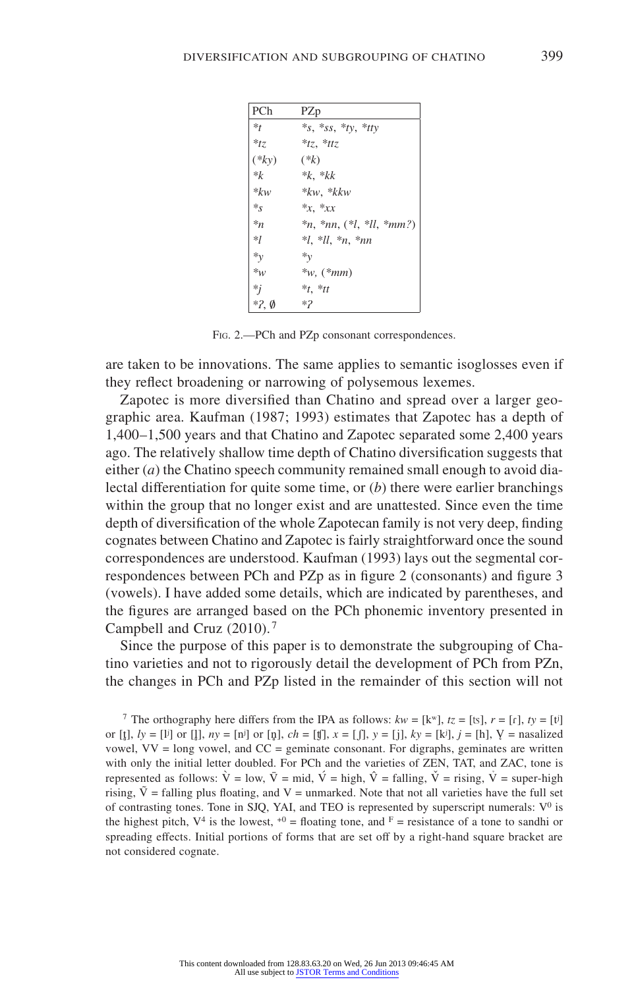| PCh             | PZp                              |
|-----------------|----------------------------------|
| $*_t$           | *s, *ss, *ty, *tty               |
| $*_{tz}$        | $*tz$ *ttz                       |
| $(*ky)$         | $(*k)$                           |
| $*_{k}$         | $*k$ , $*kk$                     |
| $* k w$         | $*kw, *kkw$                      |
| $\ast_S$        | $*x$ , $*xx$                     |
| $*_n$           | $*_n, *_{nn}, (*l, *ll, *_{mm})$ |
| $*_{l}$         | $*l, *ll, *n, *nn$               |
| $\ast_{y}$      | $*_v$                            |
| $\ast_W$        | $*_{W, (*mm)}$                   |
| $*_{j}$         | $*_t$ , $*_t$                    |
| $*2, \emptyset$ | $*2$                             |

Fig. 2.—PCh and PZp consonant correspondences.

are taken to be innovations. The same applies to semantic isoglosses even if they reflect broadening or narrowing of polysemous lexemes.

Zapotec is more diversified than Chatino and spread over a larger geographic area. Kaufman (1987; 1993) estimates that Zapotec has a depth of 1,400–1,500 years and that Chatino and Zapotec separated some 2,400 years ago. The relatively shallow time depth of Chatino diversification suggests that either (*a*) the Chatino speech community remained small enough to avoid dialectal differentiation for quite some time, or (*b*) there were earlier branchings within the group that no longer exist and are unattested. Since even the time depth of diversification of the whole Zapotecan family is not very deep, finding cognates between Chatino and Zapotec is fairly straightforward once the sound correspondences are understood. Kaufman (1993) lays out the segmental correspondences between PCh and PZp as in figure 2 (consonants) and figure 3 (vowels). I have added some details, which are indicated by parentheses, and the figures are arranged based on the PCh phonemic inventory presented in Campbell and Cruz (2010). <sup>7</sup>

Since the purpose of this paper is to demonstrate the subgrouping of Chatino varieties and not to rigorously detail the development of PCh from PZn, the changes in PCh and PZp listed in the remainder of this section will not

<sup>7</sup> The orthography here differs from the IPA as follows:  $kw = [k^w]$ ,  $tz = [ts]$ ,  $r = [r]$ ,  $ty = [t^y]$ or [t̪],  $ly = [1]$  or [l̪],  $ny = [n]$  or [n̪],  $ch = [1]$ ,  $x = [0]$ ,  $y = [i]$ ,  $ky = [ki]$ ,  $j = [h]$ ,  $Y =$  nasalized vowel,  $VV = \text{long vowel}$ , and  $CC =$  geminate consonant. For digraphs, geminates are written with only the initial letter doubled. For PCh and the varieties of ZEN, TAT, and ZAC, tone is represented as follows:  $\hat{V} = low$ ,  $\bar{V} = mid$ ,  $\hat{V} = high$ ,  $\hat{V} = falling$ ,  $\check{V} = rising$ ,  $\check{V} = super-high$ rising,  $\tilde{V}$  = falling plus floating, and V = unmarked. Note that not all varieties have the full set of contrasting tones. Tone in SJQ, YAI, and TEO is represented by superscript numerals:  $V^0$  is the highest pitch,  $V^4$  is the lowest,  $V^6 =$  floating tone, and  $F =$  resistance of a tone to sandhi or spreading effects. Initial portions of forms that are set off by a right-hand square bracket are not considered cognate.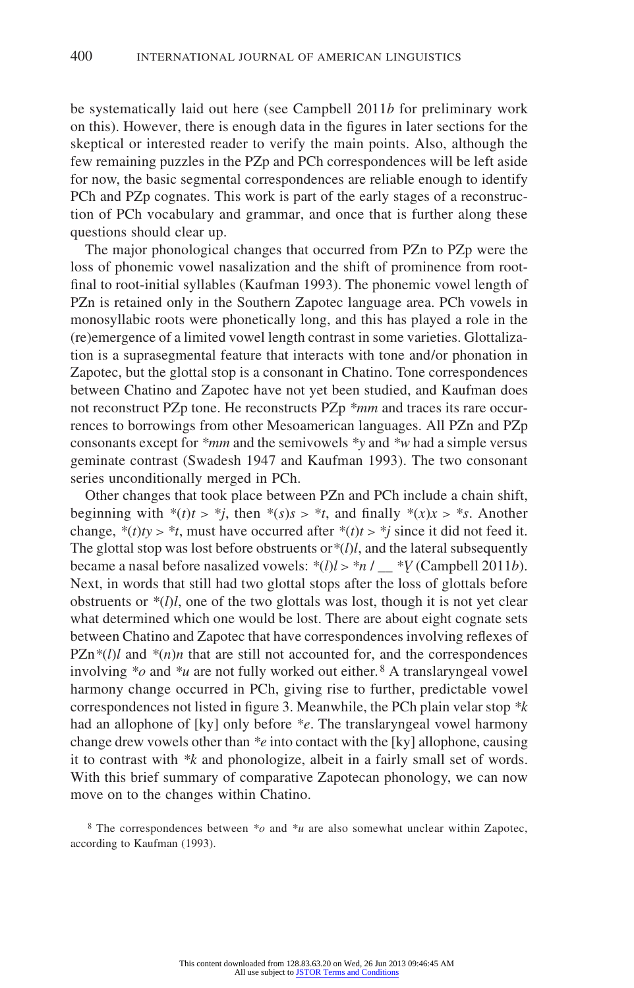be systematically laid out here (see Campbell 2011*b* for preliminary work on this). However, there is enough data in the figures in later sections for the skeptical or interested reader to verify the main points. Also, although the few remaining puzzles in the PZp and PCh correspondences will be left aside for now, the basic segmental correspondences are reliable enough to identify PCh and PZp cognates. This work is part of the early stages of a reconstruction of PCh vocabulary and grammar, and once that is further along these questions should clear up.

The major phonological changes that occurred from PZn to PZp were the loss of phonemic vowel nasalization and the shift of prominence from rootfinal to root-initial syllables (Kaufman 1993). The phonemic vowel length of PZn is retained only in the Southern Zapotec language area. PCh vowels in monosyllabic roots were phonetically long, and this has played a role in the (re)emergence of a limited vowel length contrast in some varieties. Glottalization is a suprasegmental feature that interacts with tone and/or phonation in Zapotec, but the glottal stop is a consonant in Chatino. Tone correspondences between Chatino and Zapotec have not yet been studied, and Kaufman does not reconstruct PZp tone. He reconstructs PZp *\*mm* and traces its rare occurrences to borrowings from other Mesoamerican languages. All PZn and PZp consonants except for *\*mm* and the semivowels *\*y* and *\*w* had a simple versus geminate contrast (Swadesh 1947 and Kaufman 1993). The two consonant series unconditionally merged in PCh.

Other changes that took place between PZn and PCh include a chain shift, beginning with  $*(t)t > *j$ , then  $*(s)s > *t$ , and finally  $*(x)x > *s$ . Another change,  $*(t)t$   $>$   $*t$ , must have occurred after  $*(t)t$   $>$   $*$ *j* since it did not feed it. The glottal stop was lost before obstruents or*\**(*l*)*l*, and the lateral subsequently became a nasal before nasalized vowels:  $*(l)l > *n /$   $*V$  (Campbell 2011*b*). Next, in words that still had two glottal stops after the loss of glottals before obstruents or  $*(l)l$ , one of the two glottals was lost, though it is not yet clear what determined which one would be lost. There are about eight cognate sets between Chatino and Zapotec that have correspondences involving reflexes of  $PZn^*(l)$ *l* and  $*(n)n$  that are still not accounted for, and the correspondences involving *\*o* and *\*u* are not fully worked out either. 8 A translaryngeal vowel harmony change occurred in PCh, giving rise to further, predictable vowel correspondences not listed in figure 3. Meanwhile, the PCh plain velar stop *\*k* had an allophone of [ky] only before *\*e*. The translaryngeal vowel harmony change drew vowels other than *\*e* into contact with the [ky] allophone, causing it to contrast with *\*k* and phonologize, albeit in a fairly small set of words. With this brief summary of comparative Zapotecan phonology, we can now move on to the changes within Chatino.

<sup>8</sup> The correspondences between *\*o* and *\*u* are also somewhat unclear within Zapotec, according to Kaufman (1993).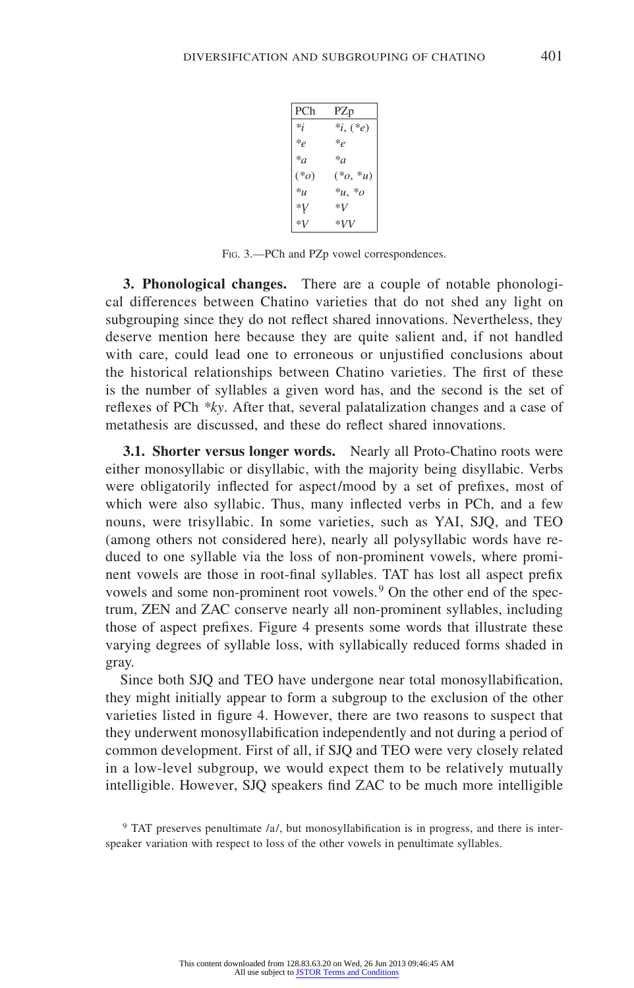| PCh               | PZp          |
|-------------------|--------------|
| $*_i$             | $*_i, (*_e)$ |
| $*_e$             | $*_e$        |
| $^*a$             | $*_a$        |
| $(*_0)$           | $(*_0, *_u)$ |
| $*_{\mathcal{U}}$ | $*_{u,*o}$   |
| *V                | *V           |
| *V                | *VV          |

Fig. 3.—PCh and PZp vowel correspondences.

**3. Phonological changes.** There are a couple of notable phonological differences between Chatino varieties that do not shed any light on subgrouping since they do not reflect shared innovations. Nevertheless, they deserve mention here because they are quite salient and, if not handled with care, could lead one to erroneous or unjustified conclusions about the historical relationships between Chatino varieties. The first of these is the number of syllables a given word has, and the second is the set of reflexes of PCh *\*ky*. After that, several palatalization changes and a case of metathesis are discussed, and these do reflect shared innovations.

**3.1. Shorter versus longer words.** Nearly all Proto-Chatino roots were either monosyllabic or disyllabic, with the majority being disyllabic. Verbs were obligatorily inflected for aspect/mood by a set of prefixes, most of which were also syllabic. Thus, many inflected verbs in PCh, and a few nouns, were trisyllabic. In some varieties, such as YAI, SJQ, and TEO (among others not considered here), nearly all polysyllabic words have reduced to one syllable via the loss of non-prominent vowels, where prominent vowels are those in root-final syllables. TAT has lost all aspect prefix vowels and some non-prominent root vowels.<sup>9</sup> On the other end of the spectrum, ZEN and ZAC conserve nearly all non-prominent syllables, including those of aspect prefixes. Figure 4 presents some words that illustrate these varying degrees of syllable loss, with syllabically reduced forms shaded in gray.

Since both SJQ and TEO have undergone near total monosyllabification, they might initially appear to form a subgroup to the exclusion of the other varieties listed in figure 4. However, there are two reasons to suspect that they underwent monosyllabification independently and not during a period of common development. First of all, if SJQ and TEO were very closely related in a low-level subgroup, we would expect them to be relatively mutually intelligible. However, SJQ speakers find ZAC to be much more intelligible

<sup>9</sup> TAT preserves penultimate /a/, but monosyllabification is in progress, and there is interspeaker variation with respect to loss of the other vowels in penultimate syllables.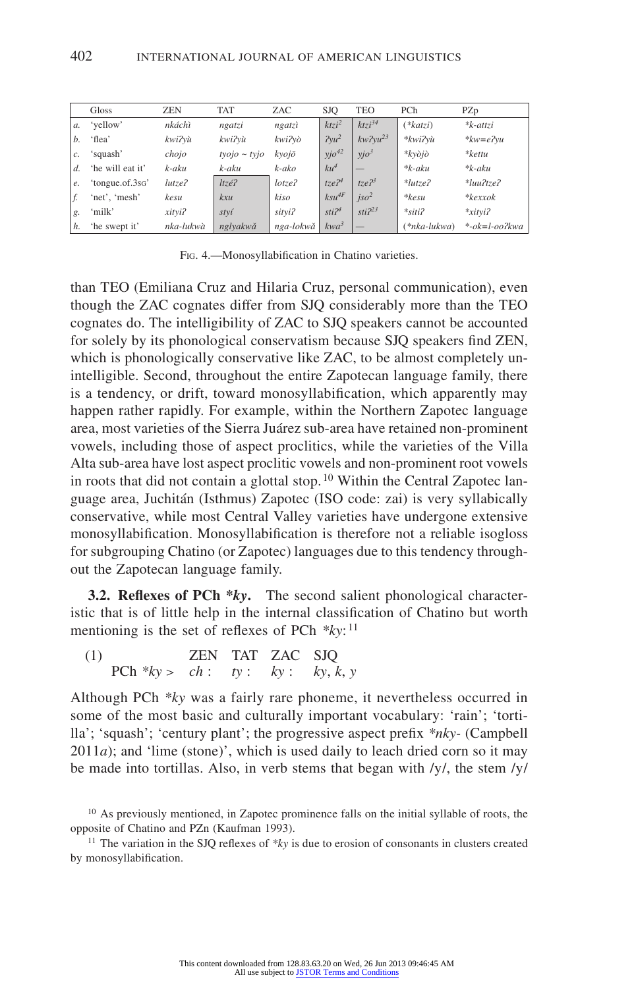|               | Gloss            | <b>ZEN</b> | <b>TAT</b>                  | ZAC       | <b>SJO</b>        | <b>TEO</b>   | PCh              | PZp                 |
|---------------|------------------|------------|-----------------------------|-----------|-------------------|--------------|------------------|---------------------|
| a.            | 'yellow'         | nkáchì     | ngatzi                      | ngatzì    | ktzi <sup>2</sup> | $ktzi^{34}$  | $(*katzi)$       | $*$ <i>k</i> -attzi |
| h             | 'flea'           | kwi?vù     | kwi?vù                      | kwi?vò    | $2yu^2$           | $kw2vu^{23}$ | *kwi?vù          | $*kw = e2vu$        |
| $\mathcal{C}$ | 'squash'         | chojo      | $t\nu o\nj o \sim t\nu j o$ | kvojō     | $yjo^{42}$        | $yjo^3$      | $*k$ vòjò        | *kettu              |
| d.            | 'he will eat it' | k-aku      | k-aku                       | k-ako     | $ku^4$            |              | $*k - \alpha ku$ | $*k - \alpha ku$    |
| e.            | 'tongue.of.3so'  | lutze?     | ltzé?                       | lotze?    | $17. e^{24}$      | $17e^{23}$   | $*lutze?$        | $*$ luu?tze?        |
| f.            | 'net', 'mesh'    | kesu       | kxu                         | kiso      | $ksu^{4F}$        | $jso^2$      | $*$ <i>kesu</i>  | $*k$ exxo $k$       |
| g.            | 'milk'           | xityi?     | styí                        | sityi?    | sti <sup>24</sup> | $sti2^{23}$  | $*$ siti?        | $*$ xityi?          |
| h.            | 'he swept it'    | nka-lukwà  | nglyakwă                    | nga-lokwă | $kwa^3$           | _            | $(*nka-lukwa)$   | $\ast$ -ok=l-oo?kwa |

Fig. 4.—Monosyllabification in Chatino varieties.

than TEO (Emiliana Cruz and Hilaria Cruz, personal communication), even though the ZAC cognates differ from SJQ considerably more than the TEO cognates do. The intelligibility of ZAC to SJQ speakers cannot be accounted for solely by its phonological conservatism because SJQ speakers find ZEN, which is phonologically conservative like ZAC, to be almost completely unintelligible. Second, throughout the entire Zapotecan language family, there is a tendency, or drift, toward monosyllabification, which apparently may happen rather rapidly. For example, within the Northern Zapotec language area, most varieties of the Sierra Juárez sub-area have retained non-prominent vowels, including those of aspect proclitics, while the varieties of the Villa Alta sub-area have lost aspect proclitic vowels and non-prominent root vowels in roots that did not contain a glottal stop.<sup>10</sup> Within the Central Zapotec language area, Juchitán (Isthmus) Zapotec (ISO code: zai) is very syllabically conservative, while most Central Valley varieties have undergone extensive monosyllabification. Monosyllabification is therefore not a reliable isogloss for subgrouping Chatino (or Zapotec) languages due to this tendency throughout the Zapotecan language family.

**3.2. Reflexes of PCh \****ky***.** The second salient phonological characteristic that is of little help in the internal classification of Chatino but worth mentioning is the set of reflexes of PCh *\*ky*: <sup>11</sup>

(1) ZEN TAT ZAC SJQ PCh  $*ky > ch$ :  $ty$ :  $ky$ :  $ky$ ,  $k, y$ 

Although PCh *\*ky* was a fairly rare phoneme, it nevertheless occurred in some of the most basic and culturally important vocabulary: 'rain'; 'tortilla'; 'squash'; 'century plant'; the progressive aspect prefix *\*nky-* (Campbell  $2011a$ ); and 'lime (stone)', which is used daily to leach dried corn so it may be made into tortillas. Also, in verb stems that began with  $/y/$ , the stem  $/y/$ 

<sup>11</sup> The variation in the SJQ reflexes of \*ky is due to erosion of consonants in clusters created by monosyllabification.

<sup>&</sup>lt;sup>10</sup> As previously mentioned, in Zapotec prominence falls on the initial syllable of roots, the opposite of Chatino and PZn (Kaufman 1993).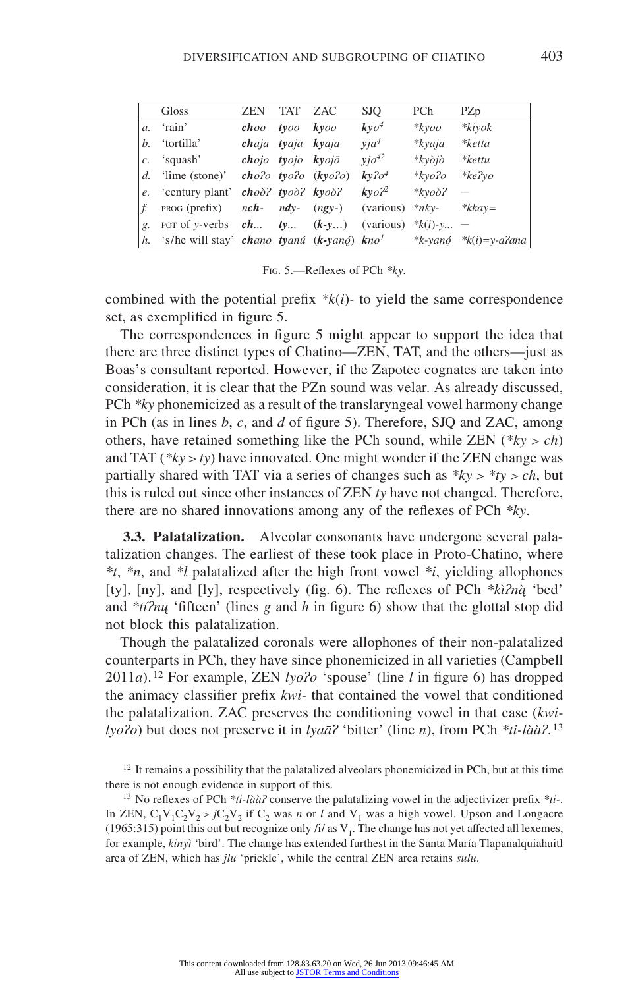|    | Gloss                                                     | <b>ZEN</b>     | TAT ZAC |                   | <b>SJQ</b>      | PCh       | PZp                         |
|----|-----------------------------------------------------------|----------------|---------|-------------------|-----------------|-----------|-----------------------------|
|    | $a.$ 'rain'                                               | choo tyoo kyoo |         |                   | $k$ y $o4$      | $*k$ yoo  | $*$ kivok                   |
|    | b. 'tortilla'                                             |                |         | chaja tyaja kyaja | $via^4$         | $*kyaja$  | *ketta                      |
|    | c. 'squash' <b>chojo tyojo kyojō</b>                      |                |         |                   | $yj\sigma^{42}$ | $*k$ vòjò | $*$ kettu                   |
|    | d. 'lime (stone)' $cho$ ? $two$ ? $(kyo$ ? $o)$ )         |                |         |                   | $k\nu$ ? $o^4$  | *kvo?o    | $*ke$ ?vo                   |
|    | <i>e.</i> 'century plant' <b><i>choo?</i></b> tyoo? kyoo? |                |         |                   | $k \nu o^2$     | $*k$ voò? |                             |
| f. | <b>PROG</b> (prefix) $nch - ndy - (ngy-)$ (various)       |                |         |                   |                 | $*$ nky-  | $*kkav =$                   |
| g. | por of y-verbs $ch$ ty $(k-y)$ (various) $*k(i)$ -y -     |                |         |                   |                 |           |                             |
|    | h. 's/he will stay' chano tyanú (k-yanó) kno <sup>1</sup> |                |         |                   |                 |           | *k-yan $\phi$ *k(i)=y-a?ana |

Fig. 5.—Reflexes of PCh *\*ky*.

combined with the potential prefix *\*k*(*i*)*-* to yield the same correspondence set, as exemplified in figure 5.

The correspondences in figure 5 might appear to support the idea that there are three distinct types of Chatino—ZEN, TAT, and the others—just as Boas's consultant reported. However, if the Zapotec cognates are taken into consideration, it is clear that the PZn sound was velar. As already discussed, PCh *\*ky* phonemicized as a result of the translaryngeal vowel harmony change in PCh (as in lines *b*, *c*, and *d* of figure 5). Therefore, SJQ and ZAC, among others, have retained something like the PCh sound, while  $ZEN$  ( $*ky > ch$ ) and TAT (*\*ky* > *ty*) have innovated. One might wonder if the ZEN change was partially shared with TAT via a series of changes such as *\*ky > \*ty > ch*, but this is ruled out since other instances of ZEN *ty* have not changed. Therefore, there are no shared innovations among any of the reflexes of PCh *\*ky*.

**3.3. Palatalization.** Alveolar consonants have undergone several palatalization changes. The earliest of these took place in Proto-Chatino, where *\*t*, *\*n*, and *\*l* palatalized after the high front vowel *\*i*, yielding allophones [ty], [ny], and [ly], respectively (fig. 6). The reflexes of PCh *\*kìʔną̀* 'bed' and *\*tíʔnų* 'fifteen' (lines *g* and *h* in figure 6) show that the glottal stop did not block this palatalization.

Though the palatalized coronals were allophones of their non-palatalized counterparts in PCh, they have since phonemicized in all varieties (Campbell 2011*a*). 12 For example, ZEN *lyoʔo* 'spouse' (line *l* in figure 6) has dropped the animacy classifier prefix *kwi-* that contained the vowel that conditioned the palatalization. ZAC preserves the conditioning vowel in that case (*kwilyoʔo*) but does not preserve it in *lyaāʔ* 'bitter' (line *n*), from PCh *\*ti-lààʔ*. <sup>13</sup>

<sup>&</sup>lt;sup>12</sup> It remains a possibility that the palatalized alveolars phonemicized in PCh, but at this time there is not enough evidence in support of this.

<sup>13</sup> No reflexes of PCh *\*ti-lààʔ* conserve the palatalizing vowel in the adjectivizer prefix *\*ti-*. In ZEN,  $C_1V_1C_2V_2 > jC_2V_2$  if C<sub>2</sub> was *n* or *l* and  $V_1$  was a high vowel. Upson and Longacre (1965:315) point this out but recognize only /i/ as  $V_1$ . The change has not yet affected all lexemes, for example, *kinyì* 'bird'. The change has extended furthest in the Santa María Tlapanalquiahuitl area of ZEN, which has *jlu* 'prickle', while the central ZEN area retains *sulu*.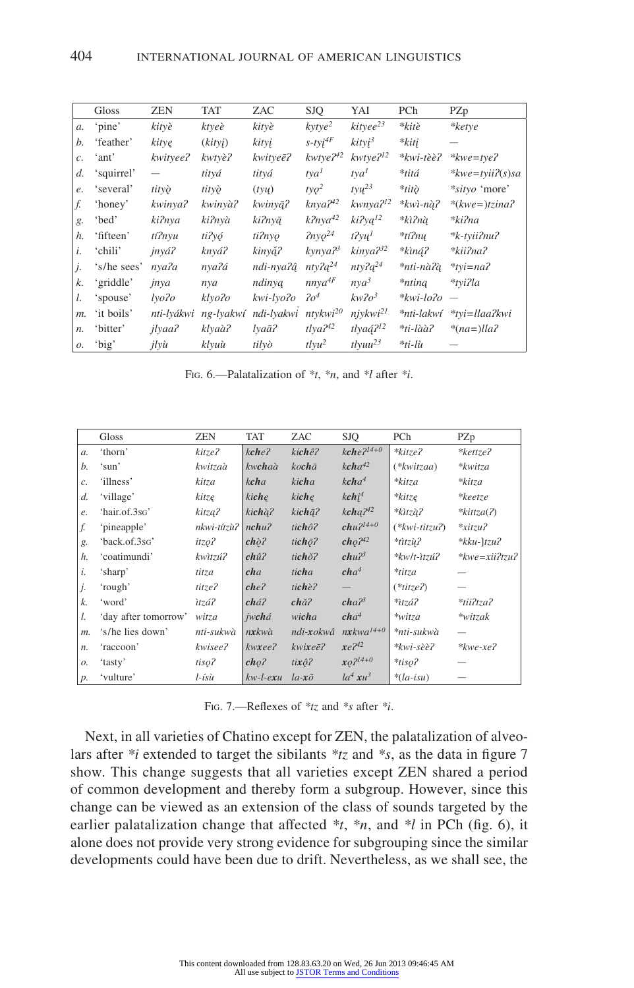|       | Gloss       | ZEN            | TAT       | ZAC         | <b>SJQ</b>              | YAI                               | PCh        | PZp                       |
|-------|-------------|----------------|-----------|-------------|-------------------------|-----------------------------------|------------|---------------------------|
| a.    | 'pine'      | kityè          | ktyeè     | kityè       | kytye <sup>2</sup>      | $kityee^{23}$                     | *kitè      | *ketye                    |
| b.    | 'feather'   | kitye          | (kityi)   | kityj       | $s$ -ty $i^{4F}$        | $kityi^3$                         | *kiti      |                           |
| c.    | 'ant'       | kwityee?       | kwtyè?    | kwityeē?    | $kwtye^{42}$            | kwtye? <sup>12</sup>              | *kwi-tèè?  | $*kwe=tve$ ?              |
| d.    | 'squirrel'  |                | titvá     | titvá       | tya <sup>1</sup>        | $t$ va <sup><math>l</math></sup>  | *titá      | $* kwe = t$ yii $i(s)$ sa |
| e.    | 'several'   | tityò          | tityò     | $(t\nu\mu)$ | $\sqrt{t}q^2$           | $t \nu u^{23}$                    | *titò      | <i>*sityo</i> 'more'      |
| f.    | 'honey'     | kwinya?        | kwinyà?   | kwinyą?     | $k$ nya $2^{42}$        | kwnya? <sup>12</sup>              | *kwì-nà?   | $*(kwe=)tzina?$           |
| g.    | 'bed'       | ki?nya         | ki?nyà    | ki?nyą      | $k^2$ nya <sup>42</sup> | $ki2$ y $q^{12}$                  | *kì?nà     | *ki?na                    |
| h.    | 'fifteen'   | tí?nyu         | ti?yó     | ti?nyo      | $2n$ yo <sup>24</sup>   | $t2\nu$                           | $*$ tí?nu  | *k-tvii?nu?               |
| i.    | 'chili'     | jnyá?          | knyá?     | kinvă?      | $k$ ynya $2^3$          | kinya <sup>32</sup>               | *kìną?     | *kii?na?                  |
| j.    | 's/he sees' | nya?a          | nya?á     | ndi-nya?â   | $n$ ty $2q^{24}$        | $n$ ty? $q^{24}$                  | *nti-nàʔà  | $*$ tyi=na?               |
| k.    | 'griddle'   | jnya           | nya       | ndinyą      | $nnya^{4F}$             | $nya^3$                           | *nting     | *tvi?la                   |
| l.    | 'spouse'    | lyo?o          | klyo?o    | kwi-lyoʔo   | 2o <sup>4</sup>         | $kw$ ? $o^3$                      | *kwi-loʔo  |                           |
| m.    | 'it boils'  | nti-lyákwi     | ng-lyakwí | ndi-lvakwi  | $ntvkwi^{20}$           | niy kwi <sup>21</sup>             | *nti-lakwí | *tvi=llaa?kwi             |
| $n$ . | 'bitter'    | jlyaa?         | klyaà?    | lyaā?       | $t\bar{z}$              | tlyaá? <sup>12</sup>              | *ti-làà?   | $*(na=)lla$ ?             |
| 0.    | 'big'       | $ily\grave{u}$ | klyuù     | tilvò       | $t \nu^2$               | $t$ <sub>lyuu</sub> <sup>23</sup> | *ti-lù     |                           |

Fig. 6.—Palatalization of *\*t*, *\*n*, and *\*l* after *\*i*.

|       | Gloss                | <b>ZEN</b>        | <b>TAT</b>                     | ZAC                    | <b>SJO</b>               | PCh                      | PZp                     |
|-------|----------------------|-------------------|--------------------------------|------------------------|--------------------------|--------------------------|-------------------------|
| $a$ . | 'thorn'              | kitze?            | $k$ che?                       | kichê?                 | $kche^{2l4+0}$           | *kitze?                  | $*$ kettze?             |
| b.    | 'sun'                | kwitzaà           | kwchaà                         | kochā                  | $kcha^{42}$              | $(*kwitzaa)$             | *kwitza                 |
| c.    | 'illness'            | kitza             | kcha                           | kicha                  | kcha <sup>4</sup>        | *kitza                   | *kitza                  |
| d.    | 'village'            | kitzę             | kiche                          | kiche                  | kchi <sup>4</sup>        | $*$ kitze                | $*keetze$               |
| e.    | 'hair.of.3so'        | kitza?            | kichà?                         | kichā?                 | $kchq^{242}$             | *kìtzà?                  | * $kittza(2)$           |
| f.    | 'pineapple'          | nkwi-títzù?       | $n$ chu $\lambda$              | tichô?                 | $chu2^{14+0}$            | $(*kwi-titzu2)$          | $*$ xitzu?              |
| g.    | 'back.of.3sg'        | itzo?             | $ch\grave{\phi}$ ?             | tic $h\bar{\varphi}$ ? | $ch_2\gamma^{42}$        | $*$ titzù?               | $*kku \frac{1}{2}u^2$   |
| h.    | 'coatimundi'         | kwìtzú?           | ch <sub>u</sub> î <sub>2</sub> | tich <sub>o</sub> ?    | $chu^2$                  | $*$ kw/t- $itzi$ t $i$ ? | $*$ <i>kwe=xii?tzu?</i> |
| i.    | 'sharp'              | titza             | cha                            | ticha                  | cha <sup>4</sup>         | *titza                   |                         |
| j.    | 'rough'              | titze?            | che <sub>2</sub>               | tichè?                 | $\overline{\phantom{0}}$ | $(*titze2)$              |                         |
| k.    | 'word'               | ìtzá?             | chá?                           | $ch\check{a}$ ?        | cha <sup>23</sup>        | *ìtzá?                   | *tii?tza?               |
| l.    | 'day after tomorrow' | witza             | jwchá                          | wicha                  | cha <sup>4</sup>         | $*$ witza                | *witzak                 |
| $m$ . | 's/he lies down'     | nti-sukwà         | nxkwà                          | ndi-xokwâ              | $nxkwa^{14+0}$           | *nti-sukwà               |                         |
| n.    | 'raccoon'            | kwisee?           | $k$ w $xee$ ?                  | $kw$ ixe $\bar{e}$ ?   | $xe^{242}$               | *kwi-sèè?                | $*$ kwe-xe?             |
| 0.    | 'tasty'              | tiso <sub>2</sub> | cho <sup>2</sup>               | $t\dot{x}\hat{o}$ ?    | $x_{Q}^{2l4+0}$          | $*$ tiso?                |                         |
| $p$ . | 'vulture'            | $l$ -ísù          | $kw-l$ - $exu$                 | $la - x\tilde{o}$      | $la^4 x u^3$             | $*(la\text{-}isu)$       |                         |

| Fig. 7.—Reflexes of $*_tz$ and $*_s$ after $*_i$ . |  |  |  |  |  |  |  |  |  |
|----------------------------------------------------|--|--|--|--|--|--|--|--|--|
|----------------------------------------------------|--|--|--|--|--|--|--|--|--|

Next, in all varieties of Chatino except for ZEN, the palatalization of alveolars after *\*i* extended to target the sibilants *\*tz* and *\*s*, as the data in figure 7 show. This change suggests that all varieties except ZEN shared a period of common development and thereby form a subgroup. However, since this change can be viewed as an extension of the class of sounds targeted by the earlier palatalization change that affected *\*t*, *\*n*, and *\*l* in PCh (fig. 6), it alone does not provide very strong evidence for subgrouping since the similar developments could have been due to drift. Nevertheless, as we shall see, the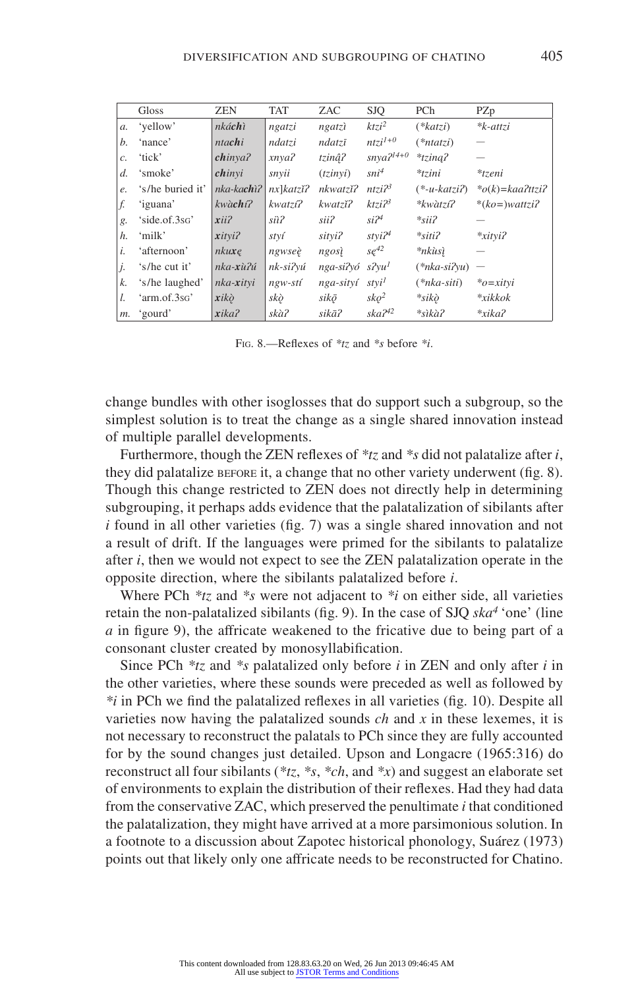|       | Gloss            | <b>ZEN</b>     | <b>TAT</b>  | ZAC       | <b>SJQ</b>           | PCh            | PZp                 |
|-------|------------------|----------------|-------------|-----------|----------------------|----------------|---------------------|
| a.    | 'vellow'         | nkáchì         | ngatzi      | ngatzì    | $ktzi^2$             | $(*katzi)$     | $*$ <i>k</i> -attzi |
| b.    | 'nance'          | ntachi         | ndatzi      | ndatzī    | $ntzi^{1+0}$         | $(*ntatzi)$    |                     |
| c.    | 'tick'           | chinya2        | xnya?       | tzinâ?    | $snya^{2l4+0}$       | $*$ tzina?     |                     |
| $d$ . | 'smoke'          | chinyi         | snyii       | (tzinvi)  | $sni^4$              | $*tzini$       | $*tzeni$            |
| e.    | 's/he buried it' | $nka$ -kachi?  | $nx$ katzi? | nkwatzĭ?  | ntzi2 <sup>3</sup>   | $(*-u-katzii)$ | $*$ o(k)=kaa?ttzi?  |
| f.    | 'iguana'         | $kw\`{a}$ chí? | kwatzi?     | kwatzĭ?   | $k$ tzi $2^3$        | *kwàtzí?       | $*(ko=)wartzi?$     |
| g.    | 'side.of.3sg'    | xii2           | siì?        | sii?      | $si^{\gamma}$        | $*sii$ ?       |                     |
| h.    | 'milk'           | xityi?         | styí        | sityi?    | stvi2 <sup>4</sup>   | $*$ siti?      | $*$ xityi?          |
| i.    | 'afternoon'      | nkuxe          | ngwseè      | ngosì     | $se^{42}$            | *nkùsì         |                     |
| j.    | 's/he cut it'    | nka-xù?ú       | nk-si?vú    | nga-si?vó | $s2$ vu <sup>1</sup> | $(*nka-si2vu)$ |                     |
| k.    | 's/he laughed'   | nka-xityi      | $ngw-sti$   | nga-sityí | stvi <sup>1</sup>    | $(*nka-siti)$  | $*o=xitvi$          |
| l.    | 'arm.of.3sG'     | xikò           | skò         | sikō      | sko <sup>2</sup>     | $*$ sikò       | $* xikkok$          |
| m.    | 'gourd'          | xika?          | skà?        | sikā?     | $ska^{242}$          | *sìkà?         | $* xika?$           |

Fig. 8.—Reflexes of *\*tz* and *\*s* before *\*i*.

change bundles with other isoglosses that do support such a subgroup, so the simplest solution is to treat the change as a single shared innovation instead of multiple parallel developments.

Furthermore, though the ZEN reflexes of *\*tz* and *\*s* did not palatalize after *i*, they did palatalize before it, a change that no other variety underwent (fig. 8). Though this change restricted to ZEN does not directly help in determining subgrouping, it perhaps adds evidence that the palatalization of sibilants after *i* found in all other varieties (fig. 7) was a single shared innovation and not a result of drift. If the languages were primed for the sibilants to palatalize after *i*, then we would not expect to see the ZEN palatalization operate in the opposite direction, where the sibilants palatalized before *i*.

Where PCh *\*tz* and *\*s* were not adjacent to *\*i* on either side, all varieties retain the non-palatalized sibilants (fig. 9). In the case of SJQ *ska4* 'one' (line *a* in figure 9), the affricate weakened to the fricative due to being part of a consonant cluster created by monosyllabification.

Since PCh *\*tz* and *\*s* palatalized only before *i* in ZEN and only after *i* in the other varieties, where these sounds were preceded as well as followed by *\*i* in PCh we find the palatalized reflexes in all varieties (fig. 10). Despite all varieties now having the palatalized sounds *ch* and *x* in these lexemes, it is not necessary to reconstruct the palatals to PCh since they are fully accounted for by the sound changes just detailed. Upson and Longacre (1965:316) do reconstruct all four sibilants (*\*tz*, *\*s*, *\*ch*, and *\*x*) and suggest an elaborate set of environments to explain the distribution of their reflexes. Had they had data from the conservative ZAC, which preserved the penultimate *i* that conditioned the palatalization, they might have arrived at a more parsimonious solution. In a footnote to a discussion about Zapotec historical phonology, Suárez (1973) points out that likely only one affricate needs to be reconstructed for Chatino.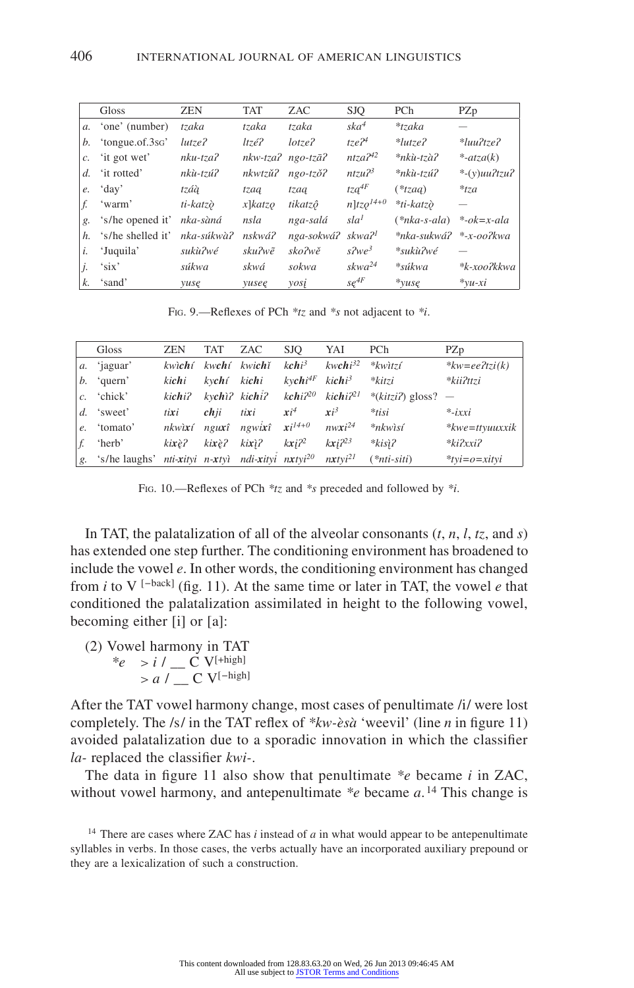|         | Gloss             | <b>ZEN</b>  | <b>TAT</b>              | ZAC                           | <b>SJQ</b>                    | PCh                    | PZp                     |
|---------|-------------------|-------------|-------------------------|-------------------------------|-------------------------------|------------------------|-------------------------|
|         | a. 'one' (number) | tzaka       | tzaka                   | tzaka                         | ska <sup>4</sup>              | $*$ tzaka              |                         |
| b.      | 'tongue.of.3sG'   | $lutze$ ?   | $ltz\acute{e}$ ?        | lotze <sub>2</sub>            | tze <sup>24</sup>             | $*lutze$ ?             | $*$ luu?tze?            |
| c.      | 'it got wet'      | $nku-tza$ ? |                         | $nkw-tza2$ ngo-tzā?           | ntza <sup>42</sup>            | *nkù-tzà?              | $*-atza(k)$             |
| d.      | 'it rotted'       | nkù-tzú?    | nkwtzŭ?                 | $ngo-tz\delta$ ?              | ntzu <sup>23</sup>            | *nkù-tzú?              | $*$ - $(y)$ uu $2tzu$ ? |
| $e_{i}$ | 'day'             | tzáà        | tzaa                    | tzaa                          | $tza^{4F}$                    | $(*tzaa)$              | $*_{tza}$               |
|         | 'warm'            | ti-katzò    | $x$ ] $k$ atz $\varphi$ | tikatzô                       | $n$ ]tz $o^{14+0}$            | *ti-katzò              |                         |
| g.      | 's/he opened it'  | nka-sàná    | nsla                    | nga-salá                      | sla <sup>1</sup>              | $(*nka-s-ala)$         | $*$ -ok=x-ala           |
| h.      | 's/he shelled it' | nka-súkwà?  | nskwá?                  | nga-sokwá? skwa? <sup>1</sup> |                               | *nka-sukwá? *-x-oo?kwa |                         |
| i.      | 'Juquila'         | sukù?wé     | sku?wẽ                  | sko?wě                        | $s^2$ <i>Nve</i> <sup>3</sup> | *sukù?wé               |                         |
| j.      | 'six'             | súkwa       | skwá                    | sokwa                         | skwa <sup>24</sup>            | *súkwa                 | *k-xoo?kkwa             |
| k.      | 'sand'            | yuse        | yusee                   | yosi                          | $se^{4F}$                     | $*_{VUSE}$             | $*vu-xi$                |

Fig. 9.—Reflexes of PCh *\*tz* and *\*s* not adjacent to *\*i*.

|             | Gloss                                                                               | <b>ZEN</b>     | <b>TAT</b>           | ZAC                             | SJO         | YAI                                       | PCh                                                                              | PZp                       |
|-------------|-------------------------------------------------------------------------------------|----------------|----------------------|---------------------------------|-------------|-------------------------------------------|----------------------------------------------------------------------------------|---------------------------|
|             | a. 'jaguar'                                                                         |                |                      | kwichí kwchí kwichí             |             | kchi <sup>3</sup> kwchi <sup>32</sup>     | $*$ <i>kwitzí</i>                                                                | $*kw = e e^2 t z i(k)$    |
|             | $b.$ 'quern'                                                                        | kichi          | kv <b>ch</b> í kichi |                                 |             | $k$ vchi <sup>4F</sup> kichi <sup>3</sup> | *kitzi                                                                           | *kii?ttzi                 |
|             | c. 'chick'                                                                          |                |                      |                                 |             |                                           | kichi? kychì? kichi? kchi? <sup>20</sup> kichi? <sup>21</sup> *(kitzi?) gloss? — |                           |
|             | $d.$ 'sweet'                                                                        | $t$ <i>ixi</i> | chii                 | tixi                            | $xi^4$      | $xi^3$                                    | $*$ tisi                                                                         | $*$ -ixxi                 |
| $e_{\cdot}$ | 'tomato'                                                                            |                |                      | nkwixí nguxî ngwixî $xi^{14+0}$ |             | $nwxi^{24}$                               | $*$ nkwisí                                                                       | $*$ <i>kwe</i> =ttyuuxxik |
|             | 'herb'                                                                              | kixè?          | kixè?                | kixì?                           | $kx$ i $22$ | $kxi^{23}$                                | $*kis$ i?                                                                        | $*ki2xxi2$                |
|             | g. 's/he laughs' nti-xityi n-xtyì ndi-xityi nxtyi <sup>20</sup> nxtyi <sup>21</sup> |                |                      |                                 |             |                                           | $(*nti-siti)$                                                                    | $*$ tyi=o=xityi           |

Fig. 10.—Reflexes of PCh *\*tz* and *\*s* preceded and followed by *\*i*.

In TAT, the palatalization of all of the alveolar consonants  $(t, n, l, tz,$  and  $s)$ has extended one step further. The conditioning environment has broadened to include the vowel *e*. In other words, the conditioning environment has changed from *i* to V [−back] (fig. 11). At the same time or later in TAT, the vowel *e* that conditioned the palatalization assimilated in height to the following vowel, becoming either [i] or [a]:

(2) Vowel harmony in TAT

\*
$$
e
$$
 >  $i / \_C V^{[+high]}$   
>  $a / \_C V^{[-high]}$ 

After the TAT vowel harmony change, most cases of penultimate /i/ were lost completely. The /s/ in the TAT reflex of *\*kw-èsà* 'weevil' (line *n* in figure 11) avoided palatalization due to a sporadic innovation in which the classifier *la-* replaced the classifier *kwi-*.

The data in figure 11 also show that penultimate *\*e* became *i* in ZAC, without vowel harmony, and antepenultimate \*e became a.<sup>14</sup> This change is

<sup>14</sup> There are cases where ZAC has *i* instead of *a* in what would appear to be antepenultimate syllables in verbs. In those cases, the verbs actually have an incorporated auxiliary prepound or they are a lexicalization of such a construction.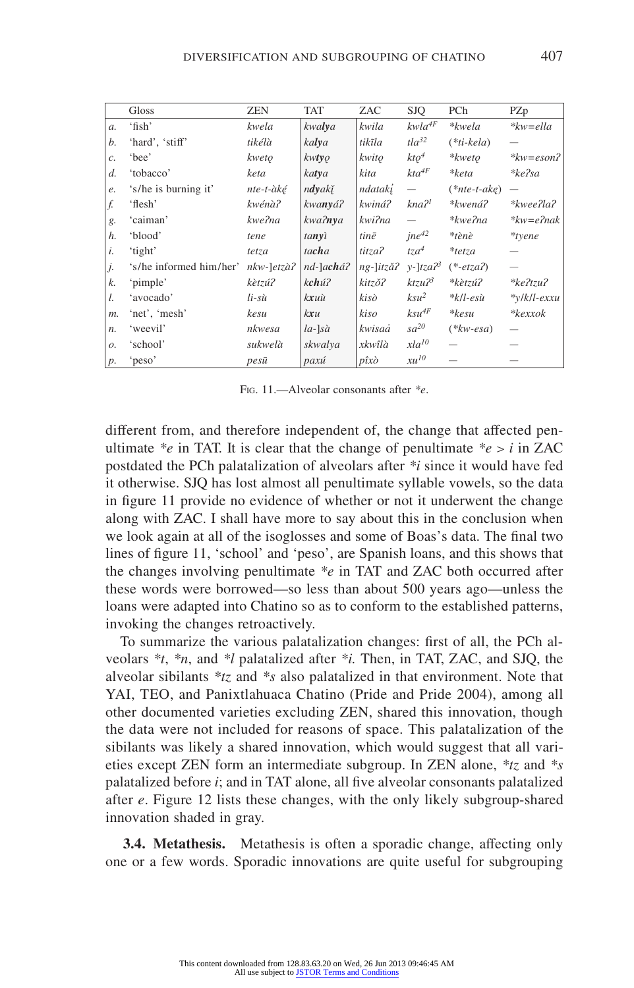|                 | Gloss                   | <b>ZEN</b>    | <b>TAT</b>       | ZAC                | <b>SJQ</b>               | PCh                                   | PZp                     |
|-----------------|-------------------------|---------------|------------------|--------------------|--------------------------|---------------------------------------|-------------------------|
| $\mathfrak{a}.$ | 'fish'                  | kwela         | kwalya           | kwila              | $kwla^{4F}$              | *kwela                                | $*kw = el la$           |
| b.              | 'hard', 'stiff'         | tikélà        | kalya            | tikĩla             | $t\frac{da^{32}}{2}$     | $(*ti-kela)$                          |                         |
| $\mathcal{C}$   | 'hee'                   | kweto         | kwtyo            | kwito              | $kto^4$                  | *kweto                                | $*kw=eson$              |
| d.              | 'tobacco'               | keta          | katya            | kita               | $kta^{4F}$               | *keta                                 | $*ke$ ?sa               |
| e.              | 's/he is burning it'    | nte-t-àké     | ndyakĭ           | ndataki            | $\overline{\phantom{0}}$ | $(*nte-t-ake)$                        |                         |
| f.              | 'flesh'                 | kwénà?        | kwanyá?          | kwiná?             | kna <sup>21</sup>        | *kwená?                               | $* kweel a?$            |
| g.              | 'caiman'                | kwe?na        | kwa?nva          | kwi?na             |                          | *kwe?na                               | $*kw = e$ ?nak          |
| h.              | 'blood'                 | tene          | tanyì            | tinē               | $ine^{42}$               | *tènè                                 | *tyene                  |
| i.              | 'tight'                 | tetza         | tacha            | titza?             | $tza^4$                  | $*$ tetza                             |                         |
| j.              | 's/he informed him/her' | $nkw$ -]etzà? | nd-]achá?        | ng-]itzǎ?          | $y$ -]tza $2^3$          | $(*-etza2)$                           |                         |
| k.              | 'pimple'                | kètzú?        | kchú?            | kitzŏ?             | ktzu23                   | *kètzú?                               | $*ke2tzu2$              |
| L.              | 'avocado'               | $li$ -sù      | kxuù             | kisò               | $ksu^2$                  | $*$ <i>k</i> / <i>l</i> -es $\dot{u}$ | $\sqrt[k]{k}$ /k/l-exxu |
| $m$ .           | 'net', 'mesh'           | kesu          | kxu              | kiso               | $ksu^{4F}$               | $*kesu$                               | *kexxok                 |
| $n$ .           | 'weevil'                | nkwesa        | $[a-]s\grave{a}$ | kwisaå             | $sa^{20}$                | $(*kw\text{-}esa)$                    |                         |
| $\mathcal{O}$ . | 'school'                | sukwelà       | skwalya          | xkwîlà             | $xla^{10}$               |                                       |                         |
| $p$ .           | 'peso'                  | pesū          | paxú             | $p\hat{i}x\hat{o}$ | $xu^{10}$                |                                       |                         |

Fig. 11.—Alveolar consonants after *\*e*.

different from, and therefore independent of, the change that affected penultimate  $e^{i\phi}$  in TAT. It is clear that the change of penultimate  $e^{i\phi} > i$  in ZAC postdated the PCh palatalization of alveolars after *\*i* since it would have fed it otherwise. SJQ has lost almost all penultimate syllable vowels, so the data in figure 11 provide no evidence of whether or not it underwent the change along with ZAC. I shall have more to say about this in the conclusion when we look again at all of the isoglosses and some of Boas's data. The final two lines of figure 11, 'school' and 'peso', are Spanish loans, and this shows that the changes involving penultimate *\*e* in TAT and ZAC both occurred after these words were borrowed—so less than about 500 years ago—unless the loans were adapted into Chatino so as to conform to the established patterns, invoking the changes retroactively.

To summarize the various palatalization changes: first of all, the PCh alveolars *\*t*, *\*n*, and *\*l* palatalized after *\*i.* Then, in TAT, ZAC, and SJQ, the alveolar sibilants *\*tz* and *\*s* also palatalized in that environment. Note that YAI, TEO, and Panixtlahuaca Chatino (Pride and Pride 2004), among all other documented varieties excluding ZEN, shared this innovation, though the data were not included for reasons of space. This palatalization of the sibilants was likely a shared innovation, which would suggest that all varieties except ZEN form an intermediate subgroup. In ZEN alone, *\*tz* and *\*s* palatalized before *i*; and in TAT alone, all five alveolar consonants palatalized after *e*. Figure 12 lists these changes, with the only likely subgroup-shared innovation shaded in gray.

**3.4. Metathesis.** Metathesis is often a sporadic change, affecting only one or a few words. Sporadic innovations are quite useful for subgrouping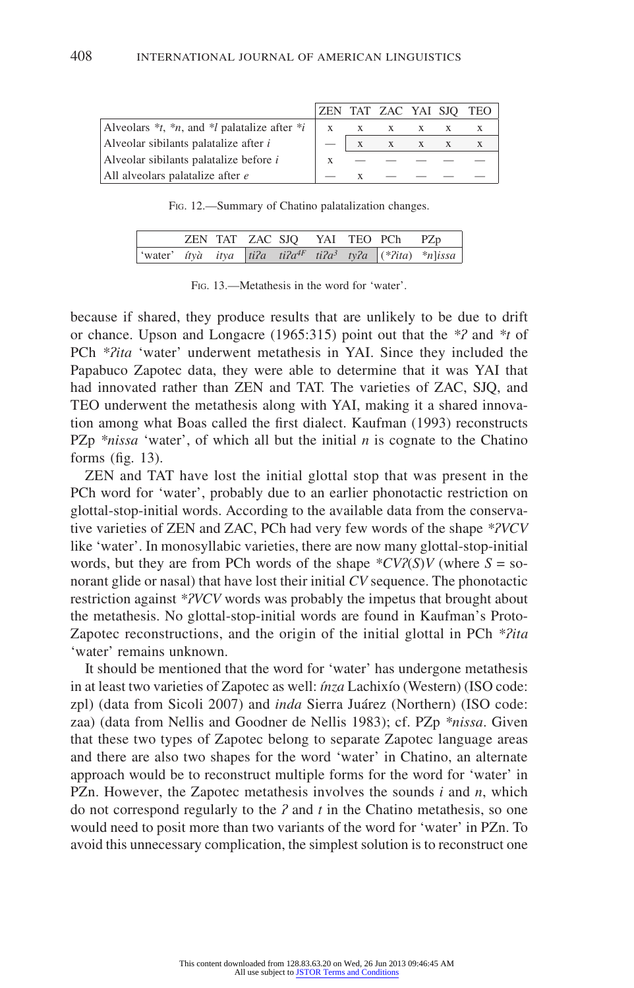|                                                            |              | ZEN TAT ZAC YAI SJQ TEO |  |  |
|------------------------------------------------------------|--------------|-------------------------|--|--|
| Alveolars $*_t$ , $*_n$ , and $*_l$ palatalize after $*_i$ | $\mathbf{X}$ | X X X X                 |  |  |
| Alveolar sibilants palatalize after <i>i</i>               |              | $X$ $X$ $X$ $X$ $X$     |  |  |
| Alveolar sibilants palatalize before <i>i</i>              |              |                         |  |  |
| All alveolars palatalize after e                           |              |                         |  |  |

Fig. 12.—Summary of Chatino palatalization changes.

|  |  |  | ZEN TAT ZAC SJO YAI TEO PCh PZp |                                                                                         |
|--|--|--|---------------------------------|-----------------------------------------------------------------------------------------|
|  |  |  |                                 | 'water' <i>ityà</i> itya ti?a ti?a <sup>4F</sup> ti?a <sup>3</sup> ty?a (*?ita) *n]issa |

Fig. 13.—Metathesis in the word for 'water'.

because if shared, they produce results that are unlikely to be due to drift or chance. Upson and Longacre (1965:315) point out that the *\*ʔ* and *\*t* of PCh \*?ita 'water' underwent metathesis in YAI. Since they included the Papabuco Zapotec data, they were able to determine that it was YAI that had innovated rather than ZEN and TAT. The varieties of ZAC, SJQ, and TEO underwent the metathesis along with YAI, making it a shared innovation among what Boas called the first dialect. Kaufman (1993) reconstructs PZp *\*nissa* 'water', of which all but the initial *n* is cognate to the Chatino forms (fig. 13).

ZEN and TAT have lost the initial glottal stop that was present in the PCh word for 'water', probably due to an earlier phonotactic restriction on glottal-stop-initial words. According to the available data from the conservative varieties of ZEN and ZAC, PCh had very few words of the shape *\*ʔVCV* like 'water'. In monosyllabic varieties, there are now many glottal-stop-initial words, but they are from PCh words of the shape  $*CV2(S)V$  (where  $S = SO$ norant glide or nasal) that have lost their initial *CV* sequence. The phonotactic restriction against *\*ʔVCV* words was probably the impetus that brought about the metathesis. No glottal-stop-initial words are found in Kaufman's Proto-Zapotec reconstructions, and the origin of the initial glottal in PCh *\*ʔita* 'water' remains unknown.

It should be mentioned that the word for 'water' has undergone metathesis in at least two varieties of Zapotec as well: *ínza* Lachixío (Western) (ISO code: zpl) (data from Sicoli 2007) and *inda* Sierra Juárez (Northern) (ISO code: zaa) (data from Nellis and Goodner de Nellis 1983); cf. PZp *\*nissa*. Given that these two types of Zapotec belong to separate Zapotec language areas and there are also two shapes for the word 'water' in Chatino, an alternate approach would be to reconstruct multiple forms for the word for 'water' in PZn. However, the Zapotec metathesis involves the sounds *i* and *n*, which do not correspond regularly to the *ʔ* and *t* in the Chatino metathesis, so one would need to posit more than two variants of the word for 'water' in PZn. To avoid this unnecessary complication, the simplest solution is to reconstruct one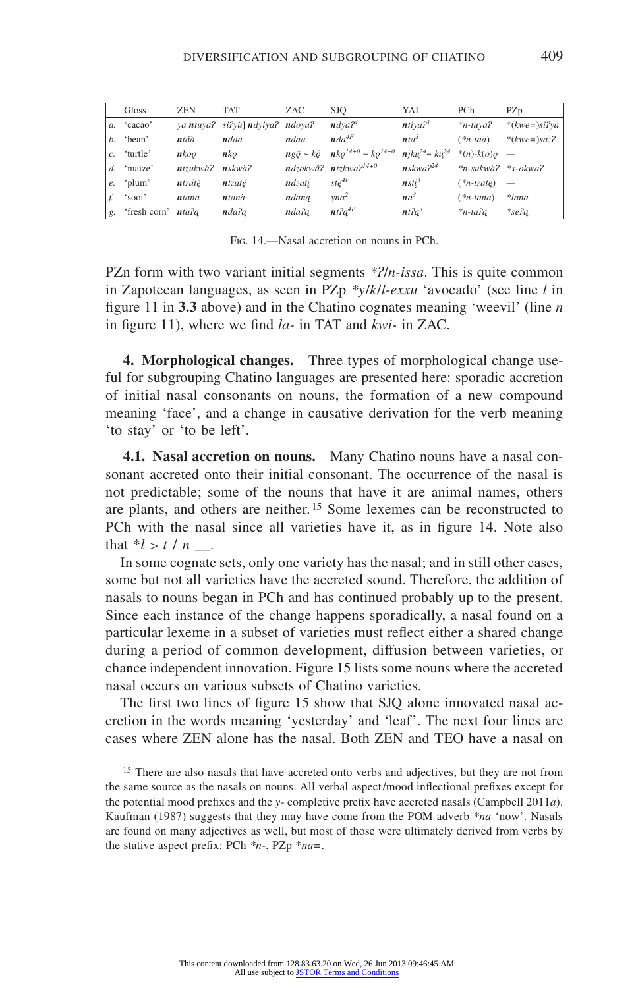|    | Gloss                     | <b>ZEN</b>           | <b>TAT</b>                      | ZAC    | <b>SJO</b>                                                        | YAI                                      | PCh                        | PZp                      |
|----|---------------------------|----------------------|---------------------------------|--------|-------------------------------------------------------------------|------------------------------------------|----------------------------|--------------------------|
|    | a. 'cacao'                |                      | ya ntuya? si?yù] ndyiya? ndoya? |        | $n \frac{d}{\nu} a^{\gamma}$                                      | $n$ tiya $23$                            | $*$ n-tuya?                | $*(kwe=)\sin^2ya$        |
|    | $b$ . 'bean'              | ntáà                 | ndaa                            | ndaa   | nda <sup>4F</sup>                                                 | nta <sup>3</sup>                         | $(*n$ -taa)                | * $(kwe=)sa:7$           |
|    | $c.$ 'turtle'             | n koo                | nko                             |        | $ng\hat{\rho} \sim k\hat{\varrho}$ $nk\rho^{14+0} \sim ko^{14+0}$ | $n$ jku <sup>24</sup> ~ ku <sup>24</sup> | *(n)- $k(o)$ o —           |                          |
|    | $d.$ 'maize'              | $n$ tzukwà $\lambda$ | $n$ skwà $\lambda$              |        | $ndzokw\hat{a}$ ? $ntzkwa$ ?                                      | $n$ skwa $2^{24}$                        | $*_n$ -sukwà? $*_x$ -okwa? |                          |
| e. | 'plum'                    | ntzátè               | ntzaté                          | ndzati | $st e^{4F}$                                                       | nsti <sup>3</sup>                        | $(*n-tzate)$               | $\overline{\phantom{0}}$ |
|    | 'soot'                    | ntana                | ntanà                           | ndana  | vna <sup>2</sup>                                                  | $na^3$                                   | $(*n$ -lana                | *lana                    |
| g. | 'fresh corn' <i>nta?a</i> |                      | nda?a                           | nda?a  | $nt2a^{4F}$                                                       | nt2a <sup>3</sup>                        | $*n-ta2a$                  | $*$ se?a                 |

Fig. 14.—Nasal accretion on nouns in PCh.

PZn form with two variant initial segments *\*ʔ/n-issa*. This is quite common in Zapotecan languages, as seen in PZp *\*y/k/l-exxu* 'avocado' (see line *l* in figure 11 in **3.3** above) and in the Chatino cognates meaning 'weevil' (line *n* in figure 11), where we find *la-* in TAT and *kwi-* in ZAC.

**4. Morphological changes.** Three types of morphological change useful for subgrouping Chatino languages are presented here: sporadic accretion of initial nasal consonants on nouns, the formation of a new compound meaning 'face', and a change in causative derivation for the verb meaning 'to stay' or 'to be left'.

**4.1. Nasal accretion on nouns.** Many Chatino nouns have a nasal consonant accreted onto their initial consonant. The occurrence of the nasal is not predictable; some of the nouns that have it are animal names, others are plants, and others are neither. 15 Some lexemes can be reconstructed to PCh with the nasal since all varieties have it, as in figure 14. Note also that  $*l > t / n$ .

In some cognate sets, only one variety has the nasal; and in still other cases, some but not all varieties have the accreted sound. Therefore, the addition of nasals to nouns began in PCh and has continued probably up to the present. Since each instance of the change happens sporadically, a nasal found on a particular lexeme in a subset of varieties must reflect either a shared change during a period of common development, diffusion between varieties, or chance independent innovation. Figure 15 lists some nouns where the accreted nasal occurs on various subsets of Chatino varieties.

The first two lines of figure 15 show that SJQ alone innovated nasal accretion in the words meaning 'yesterday' and 'leaf'. The next four lines are cases where ZEN alone has the nasal. Both ZEN and TEO have a nasal on

<sup>15</sup> There are also nasals that have accreted onto verbs and adjectives, but they are not from the same source as the nasals on nouns. All verbal aspect/mood inflectional prefixes except for the potential mood prefixes and the *y-* completive prefix have accreted nasals (Campbell 2011*a*). Kaufman (1987) suggests that they may have come from the POM adverb *\*na* 'now'. Nasals are found on many adjectives as well, but most of those were ultimately derived from verbs by the stative aspect prefix: PCh *\*n-*, PZp \**na=*.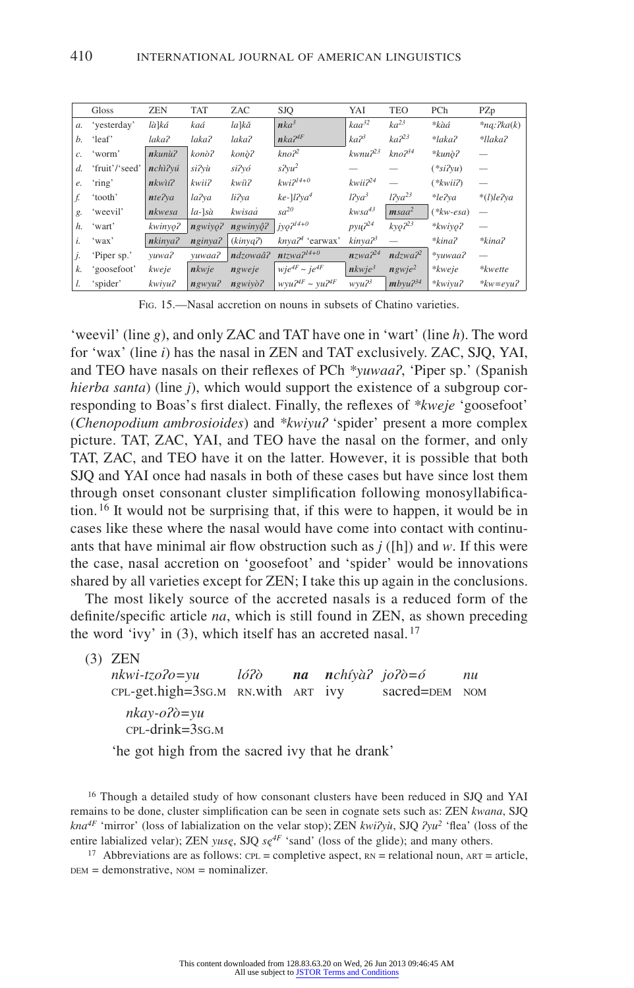|       | Gloss          | <b>ZEN</b>    | <b>TAT</b>       | ZAC             | <b>SJO</b>                | YAI                 | <b>TEO</b>            | PCh               | PZp           |
|-------|----------------|---------------|------------------|-----------------|---------------------------|---------------------|-----------------------|-------------------|---------------|
| $a$ . | 'yesterday'    | là]ká         | kaá              | la]kă           | $nka^3$                   | kaa <sup>32</sup>   | ka <sup>23</sup>      | *kàá              | $*nq:$ ?ka(k) |
| b.    | 'leaf'         | laka?         | laka?            | laka?           | $nka^{24F}$               | ka <sup>23</sup>    | ka <sup>23</sup>      | *laka?            | *llaka?       |
| c.    | 'worm'         | $n$ kunù?     | konò?            | konò?           | kno <sup>2</sup>          | $k$ wnu $2^{23}$    | kno <sup>34</sup>     | $*kunò?$          |               |
| d.    | 'fruit'/'seed' | nchì?vú       | si?vù            | si?vó           | $s^2vu^2$                 |                     |                       | $(*si2vu)$        |               |
| e.    | 'ring'         | $nkw$ i $i$ ? | kwii?            | kwiì?           | $kwi2^{14+0}$             | kwii2 <sup>24</sup> |                       | $(*kwii2)$        |               |
| f.    | 'tooth'        | nte?va        | la?va            | li?va           | $ke$ -]l?ya <sup>4</sup>  | $l2ya^3$            | $l$ ?ya <sup>23</sup> | *le?va            | $*(I)$ le?va  |
| g.    | 'weevil'       | nkwesa        | $[a-]s\grave{a}$ | kwisaå          | $sa^{20}$                 | $kwsa^{43}$         | $msaa^2$              | $(*kw-esa)$       |               |
| h.    | 'wart'         | kwinyo?       | ngwivo?          | $ngwin\hat{o}2$ | $1jyQ^{2l4+0}$            | $p$ yų $2^{24}$     | $k$ yo? <sup>23</sup> | $*kwivo?$         |               |
| i.    | 'wax'          | nkinya?       | nginya?          | (kinya2)        | $k$ nva $2^4$ 'earwax'    | kinya? <sup>3</sup> |                       | *kina?            | *kina?        |
| j.    | 'Piper sp.'    | yuwa?         | vuwaa?           | ndzowaâ?        | $ntzwa^{2l4+0}$           | nzwa <sup>24</sup>  | ndzwa <sup>2</sup>    | *vuwaa?           |               |
| k.    | 'goosefoot'    | kweje         | nkwie            | ngweje          | $wje^{4F} \sim je^{4F}$   | nkwje <sup>3</sup>  | $n$ gwje <sup>2</sup> | $*$ <i>kweje</i>  | *kwette       |
| l.    | 'spider'       | kwiyu?        | $ngwyu$ ?        | $n$ gwiyò?      | $wvu^{24F} \sim vu^{24F}$ | wyu? <sup>3</sup>   | $mb$ yu $2^{34}$      | $*$ <i>kwiyu?</i> | $*kw = evu$ ? |

Fig. 15.—Nasal accretion on nouns in subsets of Chatino varieties.

'weevil' (line *g*), and only ZAC and TAT have one in 'wart' (line *h*). The word for 'wax' (line *i*) has the nasal in ZEN and TAT exclusively. ZAC, SJQ, YAI, and TEO have nasals on their reflexes of PCh *\*yuwaaʔ*, 'Piper sp.' (Spanish *hierba santa*) (line *j*), which would support the existence of a subgroup corresponding to Boas's first dialect. Finally, the reflexes of *\*kweje* 'goosefoot' (*Chenopodium ambrosioides*) and *\*kwiyuʔ* 'spider' present a more complex picture. TAT, ZAC, YAI, and TEO have the nasal on the former, and only TAT, ZAC, and TEO have it on the latter. However, it is possible that both SJQ and YAI once had nasals in both of these cases but have since lost them through onset consonant cluster simplification following monosyllabification. 16 It would not be surprising that, if this were to happen, it would be in cases like these where the nasal would have come into contact with continuants that have minimal air flow obstruction such as *j* ([h]) and *w*. If this were the case, nasal accretion on 'goosefoot' and 'spider' would be innovations shared by all varieties except for ZEN; I take this up again in the conclusions.

The most likely source of the accreted nasals is a reduced form of the definite/specific article *na*, which is still found in ZEN, as shown preceding the word 'ivy' in  $(3)$ , which itself has an accreted nasal.<sup>17</sup>

(3) ZEN

*nkwi-tzoʔo=yu lóʔò na nchíyàʔ joʔò=ó nu*  $cpt.get. high = 3sG.M$  RN.with ART ivy sacred=DEM NOM *nkay-oʔò=yu*  cpl-drink=3sg.m

'he got high from the sacred ivy that he drank'

<sup>16</sup> Though a detailed study of how consonant clusters have been reduced in SJQ and YAI remains to be done, cluster simplification can be seen in cognate sets such as: ZEN *kwana*, SJQ *kna4F* 'mirror' (loss of labialization on the velar stop); ZEN *kwiʔyù*, SJQ *ʔyu2* 'flea' (loss of the entire labialized velar); ZEN *yusę*, SJQ  $se^{4F}$  'sand' (loss of the glide); and many others.

<sup>17</sup> Abbreviations are as follows:  $CPL =$  completive aspect,  $RN =$  relational noun,  $ART =$  article,  $bem =$  demonstrative,  $nom = nominalizer$ .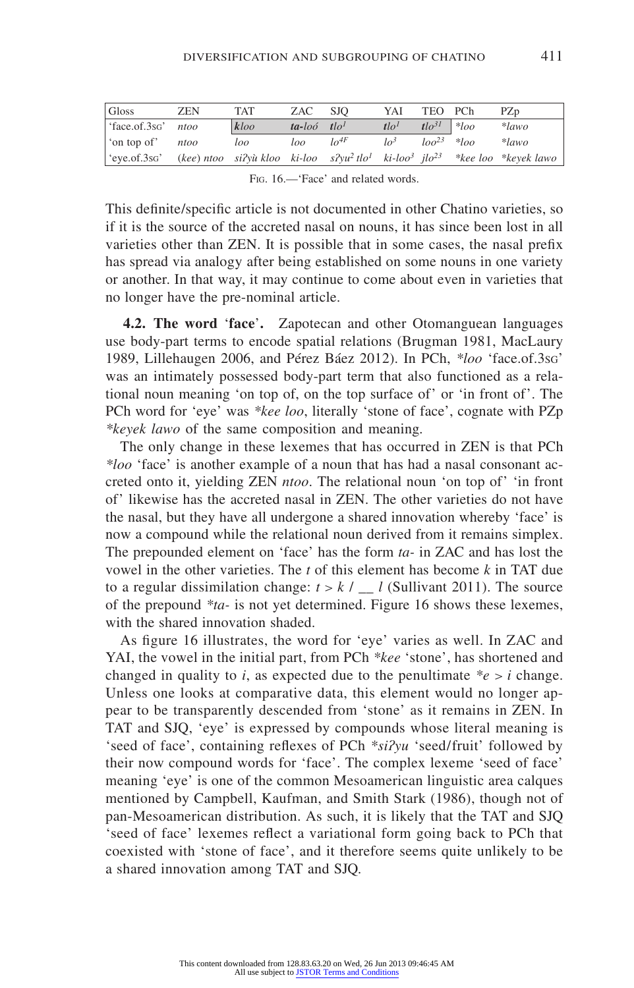| Gloss                   | ZEN  | <b>TAT</b> | ZAC                        | <b>SJO</b>          | YAI              | TEO PCh                  |              | PZ <sub>D</sub>                                                                                                            |
|-------------------------|------|------------|----------------------------|---------------------|------------------|--------------------------|--------------|----------------------------------------------------------------------------------------------------------------------------|
| face.of.3sg' ntoo       |      | kloo       | $ta$ -loó tlo <sup>1</sup> |                     | tlo <sup>1</sup> | $t \cdot l \cdot o^{31}$ | $  *  _{OO}$ | $*lawo$                                                                                                                    |
| on top of               | ntoo | loo        | loo                        | $I_0$ <sup>4F</sup> | lo <sup>3</sup>  | $\log^{23}$ * $\log$     |              | $*lawo$                                                                                                                    |
| $e$ ye.of.3s $\sigma$ ' |      |            |                            |                     |                  |                          |              | (kee) ntoo si?yù kloo ki-loo s?yu <sup>2</sup> tlo <sup>1</sup> ki-loo <sup>3</sup> jlo <sup>23</sup> *kee loo *keyek lawo |

This definite/specific article is not documented in other Chatino varieties, so if it is the source of the accreted nasal on nouns, it has since been lost in all varieties other than ZEN. It is possible that in some cases, the nasal prefix has spread via analogy after being established on some nouns in one variety or another. In that way, it may continue to come about even in varieties that no longer have the pre-nominal article.

**4.2. The word 'face'.** Zapotecan and other Otomanguean languages use body-part terms to encode spatial relations (Brugman 1981, MacLaury 1989, Lillehaugen 2006, and Pérez Báez 2012). In PCh, *\*loo* 'face.of.3sg' was an intimately possessed body-part term that also functioned as a relational noun meaning 'on top of, on the top surface of' or 'in front of'. The PCh word for 'eye' was *\*kee loo*, literally 'stone of face', cognate with PZp *\*keyek lawo* of the same composition and meaning.

The only change in these lexemes that has occurred in ZEN is that PCh *\*loo* 'face' is another example of a noun that has had a nasal consonant accreted onto it, yielding ZEN *ntoo*. The relational noun 'on top of' 'in front of' likewise has the accreted nasal in ZEN. The other varieties do not have the nasal, but they have all undergone a shared innovation whereby 'face' is now a compound while the relational noun derived from it remains simplex. The prepounded element on 'face' has the form *ta-* in ZAC and has lost the vowel in the other varieties. The *t* of this element has become *k* in TAT due to a regular dissimilation change:  $t > k / l$  (Sullivant 2011). The source of the prepound *\*ta-* is not yet determined. Figure 16 shows these lexemes, with the shared innovation shaded.

As figure 16 illustrates, the word for 'eye' varies as well. In ZAC and YAI, the vowel in the initial part, from PCh *\*kee* 'stone', has shortened and changed in quality to *i*, as expected due to the penultimate  $e^*e > i$  change. Unless one looks at comparative data, this element would no longer appear to be transparently descended from 'stone' as it remains in ZEN. In TAT and SJQ, 'eye' is expressed by compounds whose literal meaning is 'seed of face', containing reflexes of PCh *\*siʔyu* 'seed/fruit' followed by their now compound words for 'face'. The complex lexeme 'seed of face' meaning 'eye' is one of the common Mesoamerican linguistic area calques mentioned by Campbell, Kaufman, and Smith Stark (1986), though not of pan-Mesoamerican distribution. As such, it is likely that the TAT and SJQ 'seed of face' lexemes reflect a variational form going back to PCh that coexisted with 'stone of face', and it therefore seems quite unlikely to be a shared innovation among TAT and SJQ.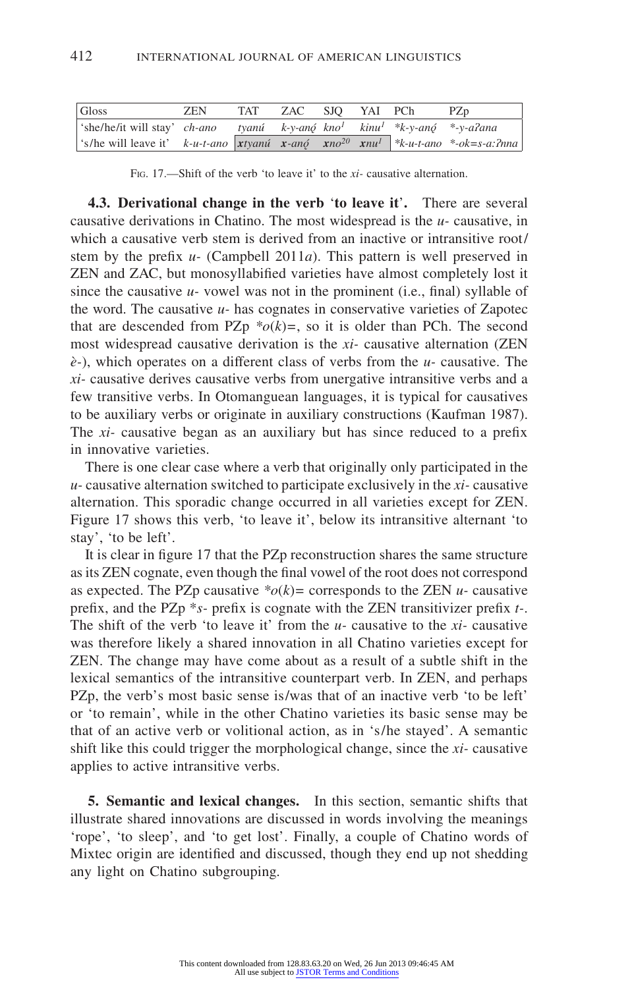| Gloss                                                                                                           | ZEN. | TAT ZAC SJO YAI PCh |  | PZ <sub>p</sub> |
|-----------------------------------------------------------------------------------------------------------------|------|---------------------|--|-----------------|
| $\frac{1}{2}$ 'she/he/it will stay' ch-ano tyanú k-y-anó kno <sup>l</sup> kinu <sup>l *</sup> k-y-anó *-y-alana |      |                     |  |                 |
| 's/he will leave it' k-u-t-ano xtyanú x-anó xno <sup>20</sup> xnu <sup>1</sup> *k-u-t-ano *-ok=s-a:?nna         |      |                     |  |                 |

Fig. 17.—Shift of the verb 'to leave it' to the *xi-* causative alternation.

**4.3. Derivational change in the verb 'to leave it'.** There are several causative derivations in Chatino. The most widespread is the *u-* causative, in which a causative verb stem is derived from an inactive or intransitive root/ stem by the prefix *u-* (Campbell 2011*a*). This pattern is well preserved in ZEN and ZAC, but monosyllabified varieties have almost completely lost it since the causative *u-* vowel was not in the prominent (i.e., final) syllable of the word. The causative *u-* has cognates in conservative varieties of Zapotec that are descended from PZp  $*o(k)=$ , so it is older than PCh. The second most widespread causative derivation is the *xi-* causative alternation (ZEN *è-*), which operates on a different class of verbs from the *u-* causative. The *xi-* causative derives causative verbs from unergative intransitive verbs and a few transitive verbs. In Otomanguean languages, it is typical for causatives to be auxiliary verbs or originate in auxiliary constructions (Kaufman 1987). The *xi-* causative began as an auxiliary but has since reduced to a prefix in innovative varieties.

There is one clear case where a verb that originally only participated in the *u-* causative alternation switched to participate exclusively in the *xi-* causative alternation. This sporadic change occurred in all varieties except for ZEN. Figure 17 shows this verb, 'to leave it', below its intransitive alternant 'to stay', 'to be left'.

It is clear in figure 17 that the PZ<sub>p</sub> reconstruction shares the same structure as its ZEN cognate, even though the final vowel of the root does not correspond as expected. The PZp causative  $*o(k)$ = corresponds to the ZEN *u*- causative prefix, and the PZp \**s-* prefix is cognate with the ZEN transitivizer prefix *t-*. The shift of the verb 'to leave it' from the *u-* causative to the *xi-* causative was therefore likely a shared innovation in all Chatino varieties except for ZEN. The change may have come about as a result of a subtle shift in the lexical semantics of the intransitive counterpart verb. In ZEN, and perhaps PZp, the verb's most basic sense is/was that of an inactive verb 'to be left' or 'to remain', while in the other Chatino varieties its basic sense may be that of an active verb or volitional action, as in 's/he stayed'. A semantic shift like this could trigger the morphological change, since the *xi-* causative applies to active intransitive verbs.

**5. Semantic and lexical changes.** In this section, semantic shifts that illustrate shared innovations are discussed in words involving the meanings 'rope', 'to sleep', and 'to get lost'. Finally, a couple of Chatino words of Mixtec origin are identified and discussed, though they end up not shedding any light on Chatino subgrouping.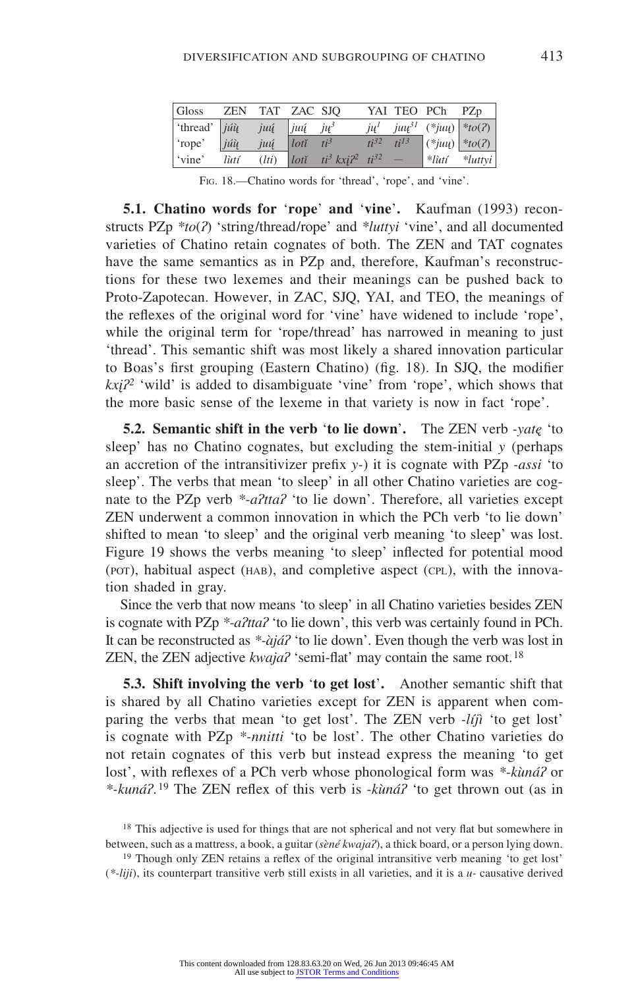| Gloss                                                      |      | ZEN TAT ZAC SJO |                                         |  | YAI TEO PCh PZp                              |                                           |
|------------------------------------------------------------|------|-----------------|-----------------------------------------|--|----------------------------------------------|-------------------------------------------|
| 'thread' $j\hat{u}\hat{u}$ juų $j\hat{u}$ juų $j\hat{u}^3$ |      |                 |                                         |  | $j\mu^l$ $ju\mu^{3l}$ (* $ju\mu$ ) * $to(?)$ |                                           |
| $ $ 'rope' $ j\hat{u}\hat{u} $                             |      |                 | $j\mu\tilde{\mu}$ $lot\tilde{t}$ $ti^3$ |  |                                              | $\int t i^{32} t i^{13}  (*juu)  * to(?)$ |
| vine'                                                      | lùtí |                 | $(lti)$ $loti$ $ti^3 kxi^2$ $ti^{32}$ - |  |                                              | *lùtí *luttyi                             |

Fig. 18.—Chatino words for 'thread', 'rope', and 'vine'.

**5.1. Chatino words for 'rope' and 'vine'.** Kaufman (1993) reconstructs PZp *\*to*(*ʔ*) 'string/thread/rope' and *\*luttyi* 'vine', and all documented varieties of Chatino retain cognates of both. The ZEN and TAT cognates have the same semantics as in PZp and, therefore, Kaufman's reconstructions for these two lexemes and their meanings can be pushed back to Proto-Zapotecan. However, in ZAC, SJQ, YAI, and TEO, the meanings of the reflexes of the original word for 'vine' have widened to include 'rope', while the original term for 'rope/thread' has narrowed in meaning to just 'thread'. This semantic shift was most likely a shared innovation particular to Boas's first grouping (Eastern Chatino) (fig. 18). In SJQ, the modifier *kxįʔ2* 'wild' is added to disambiguate 'vine' from 'rope', which shows that the more basic sense of the lexeme in that variety is now in fact 'rope'.

**5.2. Semantic shift in the verb 'to lie down'.** The ZEN verb *-yatę* 'to sleep' has no Chatino cognates, but excluding the stem-initial *y* (perhaps an accretion of the intransitivizer prefix *y-*) it is cognate with PZp *-assi* 'to sleep'. The verbs that mean 'to sleep' in all other Chatino varieties are cognate to the PZp verb *\*-aʔttaʔ* 'to lie down'. Therefore, all varieties except ZEN underwent a common innovation in which the PCh verb 'to lie down' shifted to mean 'to sleep' and the original verb meaning 'to sleep' was lost. Figure 19 shows the verbs meaning 'to sleep' inflected for potential mood (POT), habitual aspect (HAB), and completive aspect (CPL), with the innovation shaded in gray.

Since the verb that now means 'to sleep' in all Chatino varieties besides ZEN is cognate with PZp *\*-aʔttaʔ* 'to lie down', this verb was certainly found in PCh. It can be reconstructed as *\*-àjáʔ* 'to lie down'. Even though the verb was lost in ZEN, the ZEN adjective *kwaja?* 'semi-flat' may contain the same root.<sup>18</sup>

**5.3. Shift involving the verb 'to get lost'.** Another semantic shift that is shared by all Chatino varieties except for ZEN is apparent when comparing the verbs that mean 'to get lost'. The ZEN verb *-líjì* 'to get lost' is cognate with PZp *\*-nnitti* 'to be lost'. The other Chatino varieties do not retain cognates of this verb but instead express the meaning 'to get lost', with reflexes of a PCh verb whose phonological form was *\*-kùnáʔ* or *\*-kunáʔ*. 19 The ZEN reflex of this verb is *-kùnáʔ* 'to get thrown out (as in

<sup>19</sup> Though only ZEN retains a reflex of the original intransitive verb meaning 'to get lost' (*\*-liji*), its counterpart transitive verb still exists in all varieties, and it is a *u-* causative derived

<sup>&</sup>lt;sup>18</sup> This adjective is used for things that are not spherical and not very flat but somewhere in between, such as a mattress, a book, a guitar (*sèné kwajaʔ*), a thick board, or a person lying down.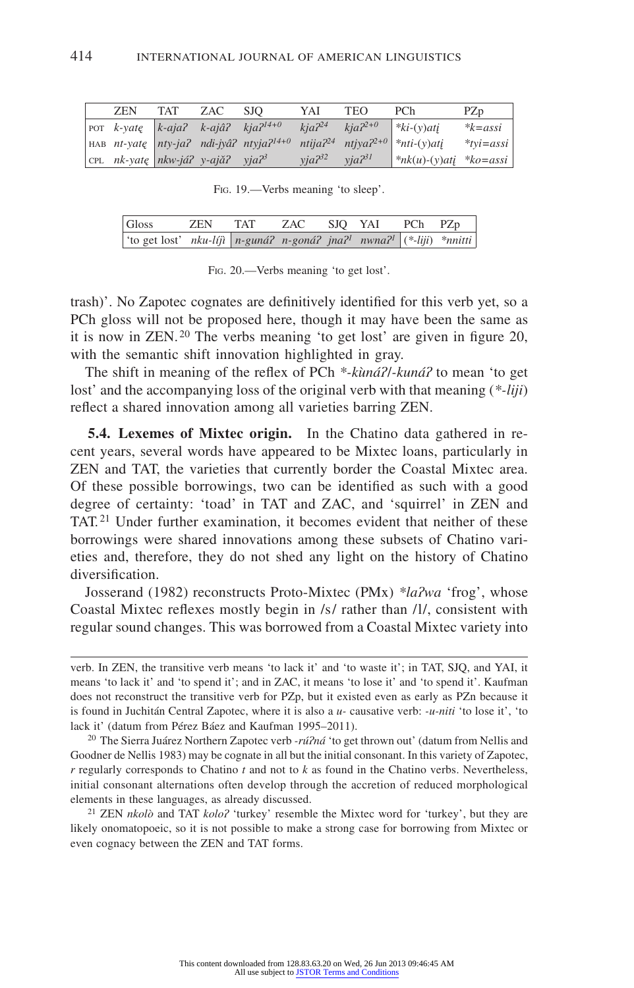| ZEN | <b>TAT</b> | ZAC | SJO.                                                  | YAI        | TEO          | PCh                                                                                                        | PZp          |
|-----|------------|-----|-------------------------------------------------------|------------|--------------|------------------------------------------------------------------------------------------------------------|--------------|
|     |            |     | POT $k$ -yatę   $k$ -aja? $k$ -ajâ? $kj$ a $2^{14+0}$ | $kia^{24}$ | $kia2^{2+0}$ | $\  * k \cdot (y)$ ati                                                                                     | $*_{k=assi}$ |
|     |            |     |                                                       |            |              | HAB nt-yatę nty-ja? ndi-jyâ? ntyja? <sup>14+0</sup> ntija? <sup>24</sup> ntjya? <sup>2+0</sup> *nti-(y)atį | $*$ tyi=assi |
|     |            |     | CPL $nk$ -yatę   $nkw$ -já? y-ajǎ? yja? <sup>3</sup>  | $via^{32}$ | $via^{231}$  | $\ast nk(u)$ -(y)ati $\ast ko = assi$                                                                      |              |

Fig. 19.—Verbs meaning 'to sleep'.

| Gloss                                                                                            | ZEN | <b>TAT</b> | ZAC SJQ YAI PCh PZp |  |  |
|--------------------------------------------------------------------------------------------------|-----|------------|---------------------|--|--|
| 'to get lost' nku-líjì   n-guná? n-goná? jna? <sup>1</sup> nwna? <sup>1</sup>   (*-liji) *nnitti |     |            |                     |  |  |

Fig. 20.—Verbs meaning 'to get lost'.

trash)'. No Zapotec cognates are definitively identified for this verb yet, so a PCh gloss will not be proposed here, though it may have been the same as it is now in ZEN. 20 The verbs meaning 'to get lost' are given in figure 20, with the semantic shift innovation highlighted in gray.

The shift in meaning of the reflex of PCh *\*-kùnáʔ*/*-kunáʔ* to mean 'to get lost' and the accompanying loss of the original verb with that meaning (*\*-liji*) reflect a shared innovation among all varieties barring ZEN.

**5.4. Lexemes of Mixtec origin.** In the Chatino data gathered in recent years, several words have appeared to be Mixtec loans, particularly in ZEN and TAT, the varieties that currently border the Coastal Mixtec area. Of these possible borrowings, two can be identified as such with a good degree of certainty: 'toad' in TAT and ZAC, and 'squirrel' in ZEN and TAT. 21 Under further examination, it becomes evident that neither of these borrowings were shared innovations among these subsets of Chatino varieties and, therefore, they do not shed any light on the history of Chatino diversification.

Josserand (1982) reconstructs Proto-Mixtec (PMx) *\*laʔwa* 'frog', whose Coastal Mixtec reflexes mostly begin in /s/ rather than /l/, consistent with regular sound changes. This was borrowed from a Coastal Mixtec variety into

verb. In ZEN, the transitive verb means 'to lack it' and 'to waste it'; in TAT, SJQ, and YAI, it means 'to lack it' and 'to spend it'; and in ZAC, it means 'to lose it' and 'to spend it'. Kaufman does not reconstruct the transitive verb for PZp, but it existed even as early as PZn because it is found in Juchitán Central Zapotec, where it is also a *u-* causative verb: *-u-niti* 'to lose it', 'to lack it' (datum from Pérez Báez and Kaufman 1995–2011).

<sup>20</sup> The Sierra Juárez Northern Zapotec verb *-rúʔná* 'to get thrown out' (datum from Nellis and Goodner de Nellis 1983) may be cognate in all but the initial consonant. In this variety of Zapotec, *r* regularly corresponds to Chatino *t* and not to *k* as found in the Chatino verbs. Nevertheless, initial consonant alternations often develop through the accretion of reduced morphological elements in these languages, as already discussed.

<sup>21</sup> ZEN *nkolò* and TAT *koloʔ* 'turkey' resemble the Mixtec word for 'turkey', but they are likely onomatopoeic, so it is not possible to make a strong case for borrowing from Mixtec or even cognacy between the ZEN and TAT forms.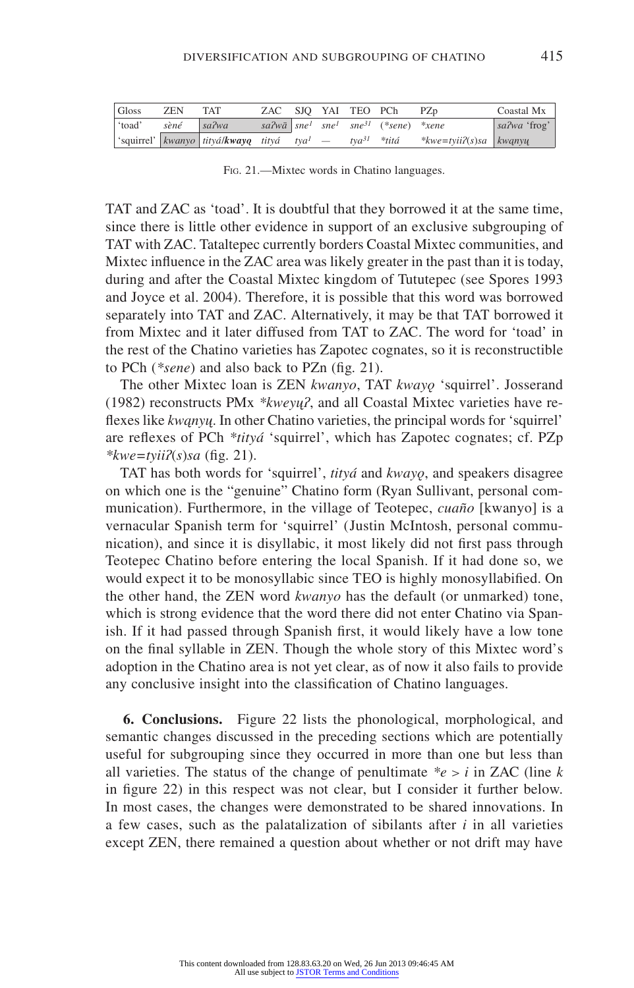| Gloss | <b>ZEN</b> | <b>TAT</b>                                            |  |  | ZAC SJO YAI TEO PCh PZp                                         |                                         | Coastal Mx   |
|-------|------------|-------------------------------------------------------|--|--|-----------------------------------------------------------------|-----------------------------------------|--------------|
| toad' | sèné       | sa2wa                                                 |  |  | $sa^2w\bar{a}$ sne <sup>1</sup> sne <sup>31</sup> (*sene) *xene |                                         | sa?wa 'frog' |
|       |            | squirrel' kwanyo tityá/kwayq tityá tya <sup>l</sup> — |  |  |                                                                 | $tya^{31}$ *titá *kwe=tyii?(s)sa kwanyu |              |

Fig. 21.—Mixtec words in Chatino languages.

TAT and ZAC as 'toad'. It is doubtful that they borrowed it at the same time, since there is little other evidence in support of an exclusive subgrouping of TAT with ZAC. Tataltepec currently borders Coastal Mixtec communities, and Mixtec influence in the ZAC area was likely greater in the past than it is today, during and after the Coastal Mixtec kingdom of Tututepec (see Spores 1993 and Joyce et al. 2004). Therefore, it is possible that this word was borrowed separately into TAT and ZAC. Alternatively, it may be that TAT borrowed it from Mixtec and it later diffused from TAT to ZAC. The word for 'toad' in the rest of the Chatino varieties has Zapotec cognates, so it is reconstructible to PCh (*\*sene*) and also back to PZn (fig. 21).

The other Mixtec loan is ZEN *kwanyo*, TAT *kwayǫ* 'squirrel'. Josserand (1982) reconstructs PMx *\*kweyųʔ*, and all Coastal Mixtec varieties have reflexes like *kwąnyų*. In other Chatino varieties, the principal words for 'squirrel' are reflexes of PCh *\*tityá* 'squirrel', which has Zapotec cognates; cf. PZp *\*kwe=tyiiʔ*(*s*)*sa* (fig. 21).

TAT has both words for 'squirrel', *tityá* and *kwayǫ*, and speakers disagree on which one is the "genuine" Chatino form (Ryan Sullivant, personal communication). Furthermore, in the village of Teotepec, *cuaño* [kwanyo] is a vernacular Spanish term for 'squirrel' (Justin McIntosh, personal communication), and since it is disyllabic, it most likely did not first pass through Teotepec Chatino before entering the local Spanish. If it had done so, we would expect it to be monosyllabic since TEO is highly monosyllabified. On the other hand, the ZEN word *kwanyo* has the default (or unmarked) tone, which is strong evidence that the word there did not enter Chatino via Spanish. If it had passed through Spanish first, it would likely have a low tone on the final syllable in ZEN. Though the whole story of this Mixtec word's adoption in the Chatino area is not yet clear, as of now it also fails to provide any conclusive insight into the classification of Chatino languages.

**6. Conclusions.** Figure 22 lists the phonological, morphological, and semantic changes discussed in the preceding sections which are potentially useful for subgrouping since they occurred in more than one but less than all varieties. The status of the change of penultimate  $e^*e > i$  in ZAC (line *k* in figure 22) in this respect was not clear, but I consider it further below. In most cases, the changes were demonstrated to be shared innovations. In a few cases, such as the palatalization of sibilants after *i* in all varieties except ZEN, there remained a question about whether or not drift may have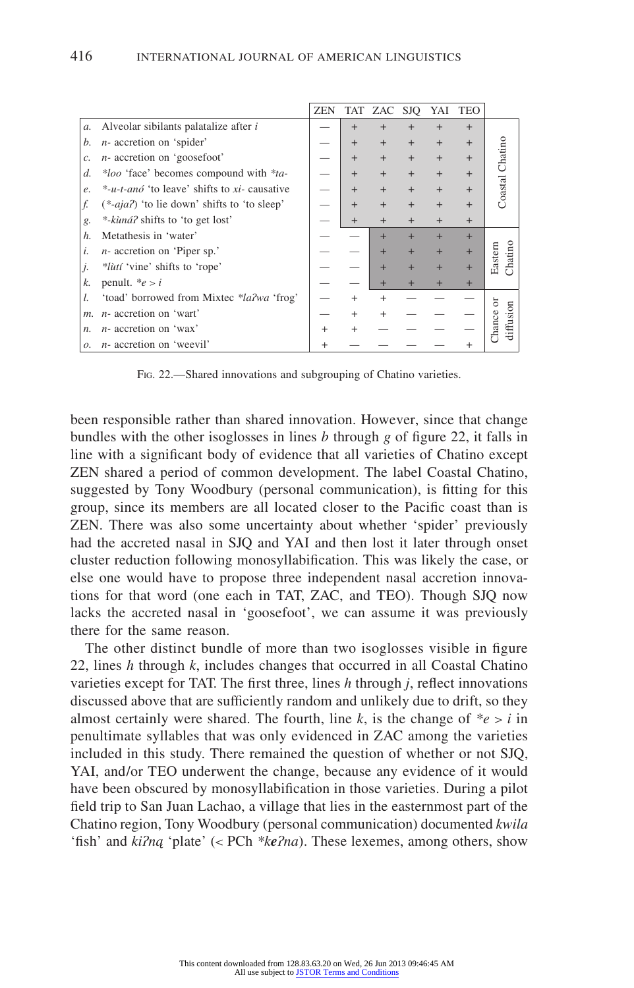|       |                                               | <b>ZEN</b> |           | TAT ZAC SJQ |        | YAI | TEO       |                 |
|-------|-----------------------------------------------|------------|-----------|-------------|--------|-----|-----------|-----------------|
| a.    | Alveolar sibilants palatalize after i         |            | $+$       | $^{+}$      |        |     | $+$       |                 |
| b.    | $n$ - accretion on 'spider'                   |            | $\ddot{}$ | $+$         | $^{+}$ | $+$ | $+$       |                 |
| c.    | n- accretion on 'goosefoot'                   |            |           | $+$         | $^{+}$ | $+$ | $+$       |                 |
| d.    | *loo 'face' becomes compound with *ta-        |            | $+$       | $+$         | $+$    | $+$ | $+$       |                 |
| e.    | *-u-t-anó 'to leave' shifts to xi- causative  |            | $+$       | $+$         | $^{+}$ | $+$ | $^{+}$    | Coastal Chatino |
| f.    | $(*-aja7)$ 'to lie down' shifts to 'to sleep' |            |           | $+$         |        |     | $+$       |                 |
| g.    | *-kùná? shifts to 'to get lost'               |            | $+$       | $+$         | $+$    |     | $+$       |                 |
| h.    | Metathesis in 'water'                         |            |           |             |        |     | $+$       |                 |
| i.    | $n$ - accretion on 'Piper sp.'                |            |           |             |        |     | $+$       | Chatino         |
| j.    | <i>*lùtí</i> 'vine' shifts to 'rope'          |            |           | ٠           |        |     | $\ddot{}$ | Eastern         |
| k.    | penult. $e > i$                               |            |           | $\pm$       |        |     | $\ddot{}$ |                 |
|       | 'toad' borrowed from Mixtec *la?wa 'frog'     |            |           | $^{+}$      |        |     |           |                 |
| $m$ . | $n$ - accretion on 'wart'                     |            |           | $\ddot{}$   |        |     |           |                 |
| n.    | $n$ - accretion on 'wax'                      | $\div$     |           |             |        |     |           |                 |
| ο.    | $n$ - accretion on 'weevil'                   |            |           |             |        |     |           |                 |

FIG. 22.—Shared innovations and subgrouping of Chatino varieties.

been responsible rather than shared innovation. However, since that change bundles with the other isoglosses in lines *b* through *g* of figure 22, it falls in line with a significant body of evidence that all varieties of Chatino except ZEN shared a period of common development. The label Coastal Chatino, suggested by Tony Woodbury (personal communication), is fitting for this group, since its members are all located closer to the Pacific coast than is ZEN. There was also some uncertainty about whether 'spider' previously had the accreted nasal in SJQ and YAI and then lost it later through onset cluster reduction following monosyllabification. This was likely the case, or else one would have to propose three independent nasal accretion innovations for that word (one each in TAT, ZAC, and TEO). Though SJQ now lacks the accreted nasal in 'goosefoot', we can assume it was previously there for the same reason.

The other distinct bundle of more than two isoglosses visible in figure 22, lines *h* through *k*, includes changes that occurred in all Coastal Chatino varieties except for TAT. The first three, lines *h* through *j*, reflect innovations discussed above that are sufficiently random and unlikely due to drift, so they almost certainly were shared. The fourth, line  $k$ , is the change of  $e > i$  in penultimate syllables that was only evidenced in ZAC among the varieties included in this study. There remained the question of whether or not SJQ, YAI, and/or TEO underwent the change, because any evidence of it would have been obscured by monosyllabification in those varieties. During a pilot field trip to San Juan Lachao, a village that lies in the easternmost part of the Chatino region, Tony Woodbury (personal communication) documented *kwila*  'fish' and *kiʔną* 'plate' (< PCh *\*keʔna*). These lexemes, among others, show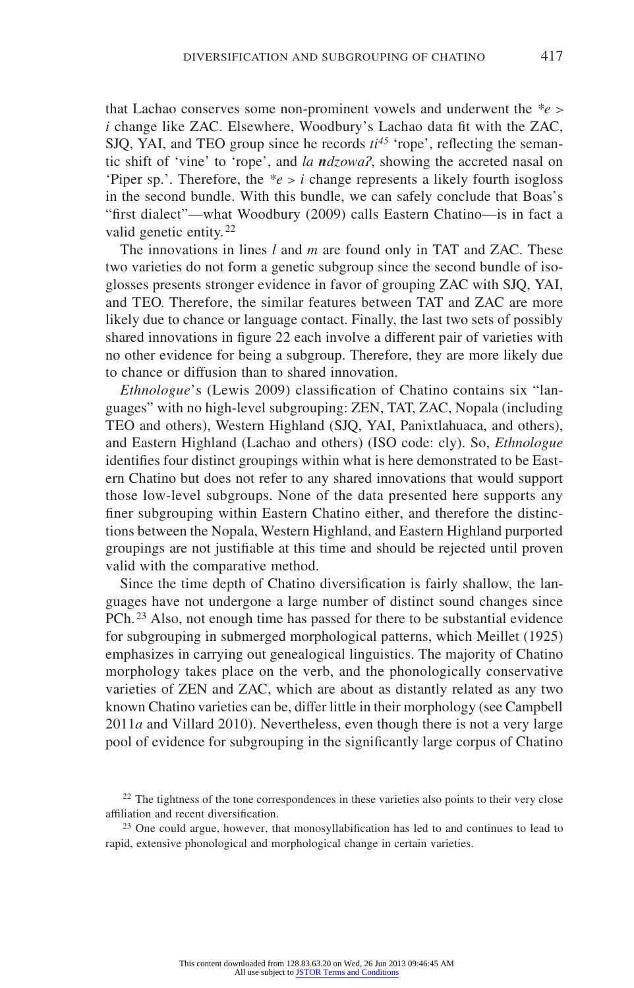that Lachao conserves some non-prominent vowels and underwent the *\*e > i* change like ZAC. Elsewhere, Woodbury's Lachao data fit with the ZAC, SJQ, YAI, and TEO group since he records  $ti^{45}$  'rope', reflecting the semantic shift of 'vine' to 'rope', and *la ndzowaʔ*, showing the accreted nasal on 'Piper sp.'. Therefore, the  $e > i$  change represents a likely fourth isogloss in the second bundle. With this bundle, we can safely conclude that Boas's "first dialect"—what Woodbury (2009) calls Eastern Chatino—is in fact a valid genetic entity. <sup>22</sup>

The innovations in lines *l* and *m* are found only in TAT and ZAC. These two varieties do not form a genetic subgroup since the second bundle of isoglosses presents stronger evidence in favor of grouping ZAC with SJQ, YAI, and TEO. Therefore, the similar features between TAT and ZAC are more likely due to chance or language contact. Finally, the last two sets of possibly shared innovations in figure 22 each involve a different pair of varieties with no other evidence for being a subgroup. Therefore, they are more likely due to chance or diffusion than to shared innovation.

*Ethnologue*'s (Lewis 2009) classification of Chatino contains six "languages" with no high-level subgrouping: ZEN, TAT, ZAC, Nopala (including TEO and others), Western Highland (SJQ, YAI, Panixtlahuaca, and others), and Eastern Highland (Lachao and others) (ISO code: cly). So, *Ethnologue* identifies four distinct groupings within what is here demonstrated to be Eastern Chatino but does not refer to any shared innovations that would support those low-level subgroups. None of the data presented here supports any finer subgrouping within Eastern Chatino either, and therefore the distinctions between the Nopala, Western Highland, and Eastern Highland purported groupings are not justifiable at this time and should be rejected until proven valid with the comparative method.

Since the time depth of Chatino diversification is fairly shallow, the languages have not undergone a large number of distinct sound changes since PCh. 23 Also, not enough time has passed for there to be substantial evidence for subgrouping in submerged morphological patterns, which Meillet (1925) emphasizes in carrying out genealogical linguistics. The majority of Chatino morphology takes place on the verb, and the phonologically conservative varieties of ZEN and ZAC, which are about as distantly related as any two known Chatino varieties can be, differ little in their morphology (see Campbell 2011*a* and Villard 2010). Nevertheless, even though there is not a very large pool of evidence for subgrouping in the significantly large corpus of Chatino

<sup>&</sup>lt;sup>22</sup> The tightness of the tone correspondences in these varieties also points to their very close affiliation and recent diversification.

<sup>&</sup>lt;sup>23</sup> One could argue, however, that monosyllabification has led to and continues to lead to rapid, extensive phonological and morphological change in certain varieties.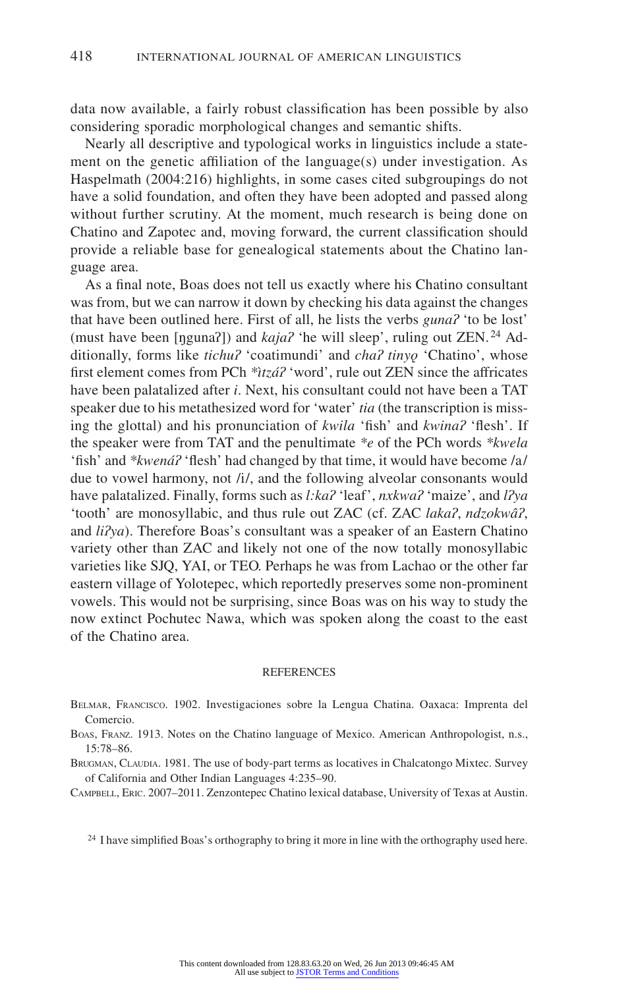data now available, a fairly robust classification has been possible by also considering sporadic morphological changes and semantic shifts.

Nearly all descriptive and typological works in linguistics include a statement on the genetic affiliation of the language(s) under investigation. As Haspelmath (2004:216) highlights, in some cases cited subgroupings do not have a solid foundation, and often they have been adopted and passed along without further scrutiny. At the moment, much research is being done on Chatino and Zapotec and, moving forward, the current classification should provide a reliable base for genealogical statements about the Chatino language area.

As a final note, Boas does not tell us exactly where his Chatino consultant was from, but we can narrow it down by checking his data against the changes that have been outlined here. First of all, he lists the verbs *gunaʔ* 'to be lost' (must have been [ŋgunaʔ]) and *kajaʔ* 'he will sleep', ruling out ZEN. 24 Additionally, forms like *tichuʔ* 'coatimundi' and *chaʔ tinyǫ* 'Chatino', whose first element comes from PCh *\*ìtzáʔ* 'word', rule out ZEN since the affricates have been palatalized after *i*. Next, his consultant could not have been a TAT speaker due to his metathesized word for 'water' *tia* (the transcription is missing the glottal) and his pronunciation of *kwila* 'fish' and *kwinaʔ* 'flesh'. If the speaker were from TAT and the penultimate *\*e* of the PCh words *\*kwela* 'fish' and *\*kwenáʔ* 'flesh' had changed by that time, it would have become /a/ due to vowel harmony, not /i/, and the following alveolar consonants would have palatalized. Finally, forms such as *l:kaʔ* 'leaf', *nxkwaʔ* 'maize', and *lʔya* 'tooth' are monosyllabic, and thus rule out ZAC (cf. ZAC *lakaʔ*, *ndzokwâʔ*, and *liʔya*). Therefore Boas's consultant was a speaker of an Eastern Chatino variety other than ZAC and likely not one of the now totally monosyllabic varieties like SJQ, YAI, or TEO. Perhaps he was from Lachao or the other far eastern village of Yolotepec, which reportedly preserves some non-prominent vowels. This would not be surprising, since Boas was on his way to study the now extinct Pochutec Nawa, which was spoken along the coast to the east of the Chatino area.

#### **REFERENCES**

Belmar, Francisco. 1902. Investigaciones sobre la Lengua Chatina. Oaxaca: Imprenta del Comercio.

Boas, Franz. 1913. Notes on the Chatino language of Mexico. American Anthropologist, n.s., 15:78–86.

Brugman, Claudia. 1981. The use of body-part terms as locatives in Chalcatongo Mixtec. Survey of California and Other Indian Languages 4:235–90.

Campbell, Eric. 2007–2011. Zenzontepec Chatino lexical database, University of Texas at Austin.

<sup>24</sup> I have simplified Boas's orthography to bring it more in line with the orthography used here.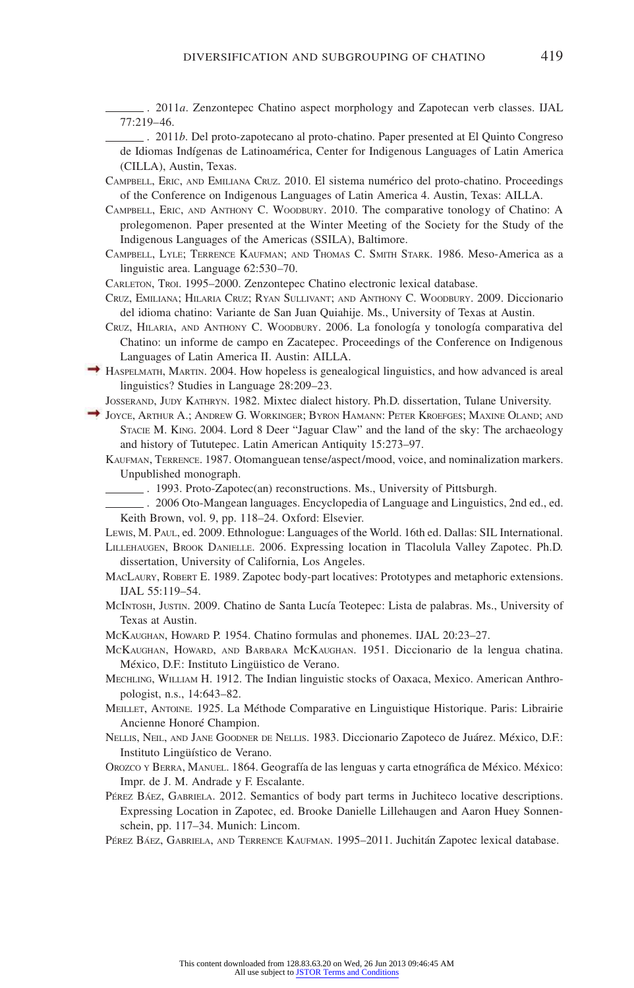. 2011*a*. Zenzontepec Chatino aspect morphology and Zapotecan verb classes. IJAL 77:219–46.

. 2011*b*. Del proto-zapotecano al proto-chatino. Paper presented at El Quinto Congreso de Idiomas Indígenas de Latinoamérica, Center for Indigenous Languages of Latin America (CILLA), Austin, Texas.

- Campbell, Eric, and Emiliana Cruz. 2010. El sistema numérico del proto-chatino. Proceedings of the Conference on Indigenous Languages of Latin America 4. Austin, Texas: AILLA.
- Campbell, Eric, and Anthony C. Woodbury. 2010. The comparative tonology of Chatino: A prolegomenon. Paper presented at the Winter Meeting of the Society for the Study of the Indigenous Languages of the Americas (SSILA), Baltimore.
- Campbell, Lyle; Terrence Kaufman; and Thomas C. Smith Stark. 1986. Meso-America as a linguistic area. Language 62:530–70.

Carleton, Troi. 1995–2000. Zenzontepec Chatino electronic lexical database.

- Cruz, Emiliana; Hilaria Cruz; Ryan Sullivant; and Anthony C. Woodbury. 2009. Diccionario del idioma chatino: Variante de San Juan Quiahije. Ms., University of Texas at Austin.
- Cruz, Hilaria, and Anthony C. Woodbury. 2006. La fonología y tonología comparativa del Chatino: un informe de campo en Zacatepec. Proceedings of the Conference on Indigenous Languages of Latin America II. Austin: AILLA.
- $\rightarrow$  HASPELMATH, MARTIN. 2004. How hopeless is genealogical linguistics, and how advanced is areal linguistics? Studies in Language 28:209–23.
	- Josserand, Judy Kathryn. 1982. Mixtec dialect history. Ph.D. dissertation, Tulane University.
- Joyce, Arthur A.; Andrew G. Workinger; Byron Hamann: Peter Kroefges; Maxine Oland; and Stacie M. King. 2004. Lord 8 Deer "Jaguar Claw" and the land of the sky: The archaeology and history of Tututepec. Latin American Antiquity 15:273–97.
	- Kaufman, Terrence. 1987. Otomanguean tense/aspect/mood, voice, and nominalization markers. Unpublished monograph.
		- . 1993. Proto-Zapotec(an) reconstructions. Ms., University of Pittsburgh.
		- . 2006 Oto-Mangean languages. Encyclopedia of Language and Linguistics, 2nd ed., ed. Keith Brown, vol. 9, pp. 118–24. Oxford: Elsevier.

Lewis, M. Paul, ed. 2009. Ethnologue: Languages of the World. 16th ed. Dallas: SIL International.

Lillehaugen, Brook Danielle. 2006. Expressing location in Tlacolula Valley Zapotec. Ph.D. dissertation, University of California, Los Angeles.

- MacLaury, Robert E. 1989. Zapotec body-part locatives: Prototypes and metaphoric extensions. IJAL 55:119–54.
- McIntosh, Justin. 2009. Chatino de Santa Lucía Teotepec: Lista de palabras. Ms., University of Texas at Austin.
- McKAUGHAN, HOWARD P. 1954. Chatino formulas and phonemes. IJAL 20:23-27.
- McKaughan, Howard, and Barbara McKaughan. 1951. Diccionario de la lengua chatina. México, D.F.: Instituto Lingüistico de Verano.
- Mechling, William H. 1912. The Indian linguistic stocks of Oaxaca, Mexico. American Anthropologist, n.s., 14:643–82.
- Meillet, Antoine. 1925. La Méthode Comparative en Linguistique Historique. Paris: Librairie Ancienne Honoré Champion.
- Nellis, Neil, and Jane Goodner de Nellis. 1983. Diccionario Zapoteco de Juárez. México, D.F.: Instituto Lingüístico de Verano.
- Orozco y Berra, Manuel. 1864. Geografía de las lenguas y carta etnográfica de México. México: Impr. de J. M. Andrade y F. Escalante.
- Pérez Báez, Gabriela. 2012. Semantics of body part terms in Juchiteco locative descriptions. Expressing Location in Zapotec, ed. Brooke Danielle Lillehaugen and Aaron Huey Sonnenschein, pp. 117–34. Munich: Lincom.
- Pérez Báez, Gabriela, and Terrence Kaufman. 1995–2011. Juchitán Zapotec lexical database.